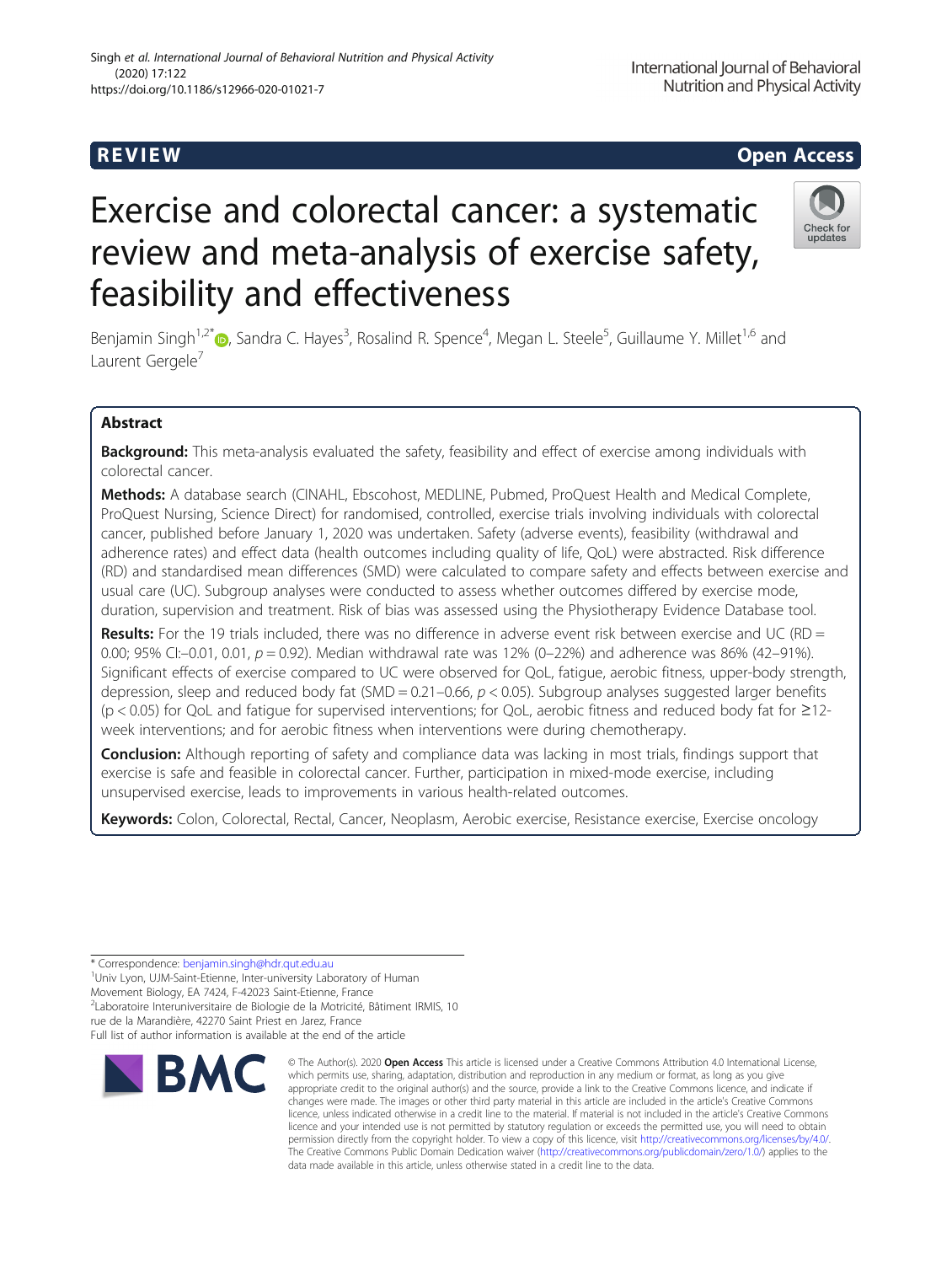# Exercise and colorectal cancer: a systematic review and meta-analysis of exercise safety, feasibility and effectiveness

Benjamin Singh<sup>1,2[\\*](http://orcid.org/0000-0002-7227-2406)</sup>®, Sandra C. Hayes<sup>3</sup>, Rosalind R. Spence<sup>4</sup>, Megan L. Steele<sup>5</sup>, Guillaume Y. Millet<sup>1,6</sup> and Laurent Gergele<sup>7</sup>

# Abstract

Background: This meta-analysis evaluated the safety, feasibility and effect of exercise among individuals with colorectal cancer.

Methods: A database search (CINAHL, Ebscohost, MEDLINE, Pubmed, ProQuest Health and Medical Complete, ProQuest Nursing, Science Direct) for randomised, controlled, exercise trials involving individuals with colorectal cancer, published before January 1, 2020 was undertaken. Safety (adverse events), feasibility (withdrawal and adherence rates) and effect data (health outcomes including quality of life, QoL) were abstracted. Risk difference (RD) and standardised mean differences (SMD) were calculated to compare safety and effects between exercise and usual care (UC). Subgroup analyses were conducted to assess whether outcomes differed by exercise mode, duration, supervision and treatment. Risk of bias was assessed using the Physiotherapy Evidence Database tool.

Results: For the 19 trials included, there was no difference in adverse event risk between exercise and UC (RD = 0.00; 95% CI:-0.01, 0.01,  $p = 0.92$ ). Median withdrawal rate was 12% (0-22%) and adherence was 86% (42-91%). Significant effects of exercise compared to UC were observed for QoL, fatigue, aerobic fitness, upper-body strength, depression, sleep and reduced body fat (SMD = 0.21-0.66,  $p < 0.05$ ). Subgroup analyses suggested larger benefits (p < 0.05) for QoL and fatigue for supervised interventions; for QoL, aerobic fitness and reduced body fat for ≥12 week interventions; and for aerobic fitness when interventions were during chemotherapy.

**Conclusion:** Although reporting of safety and compliance data was lacking in most trials, findings support that exercise is safe and feasible in colorectal cancer. Further, participation in mixed-mode exercise, including unsupervised exercise, leads to improvements in various health-related outcomes.

Keywords: Colon, Colorectal, Rectal, Cancer, Neoplasm, Aerobic exercise, Resistance exercise, Exercise oncology

\* Correspondence: [benjamin.singh@hdr.qut.edu.au](mailto:benjamin.singh@hdr.qut.edu.au) <sup>1</sup>

**BMC** 

<sup>1</sup> Univ Lyon, UJM-Saint-Etienne, Inter-university Laboratory of Human

Movement Biology, EA 7424, F-42023 Saint-Etienne, France

<sup>2</sup>Laboratoire Interuniversitaire de Biologie de la Motricité, Bâtiment IRMIS, 10

rue de la Marandière, 42270 Saint Priest en Jarez, France

Full list of author information is available at the end of the article





© The Author(s), 2020 **Open Access** This article is licensed under a Creative Commons Attribution 4.0 International License, which permits use, sharing, adaptation, distribution and reproduction in any medium or format, as long as you give

International Journal of Behavioral Nutrition and Physical Activity



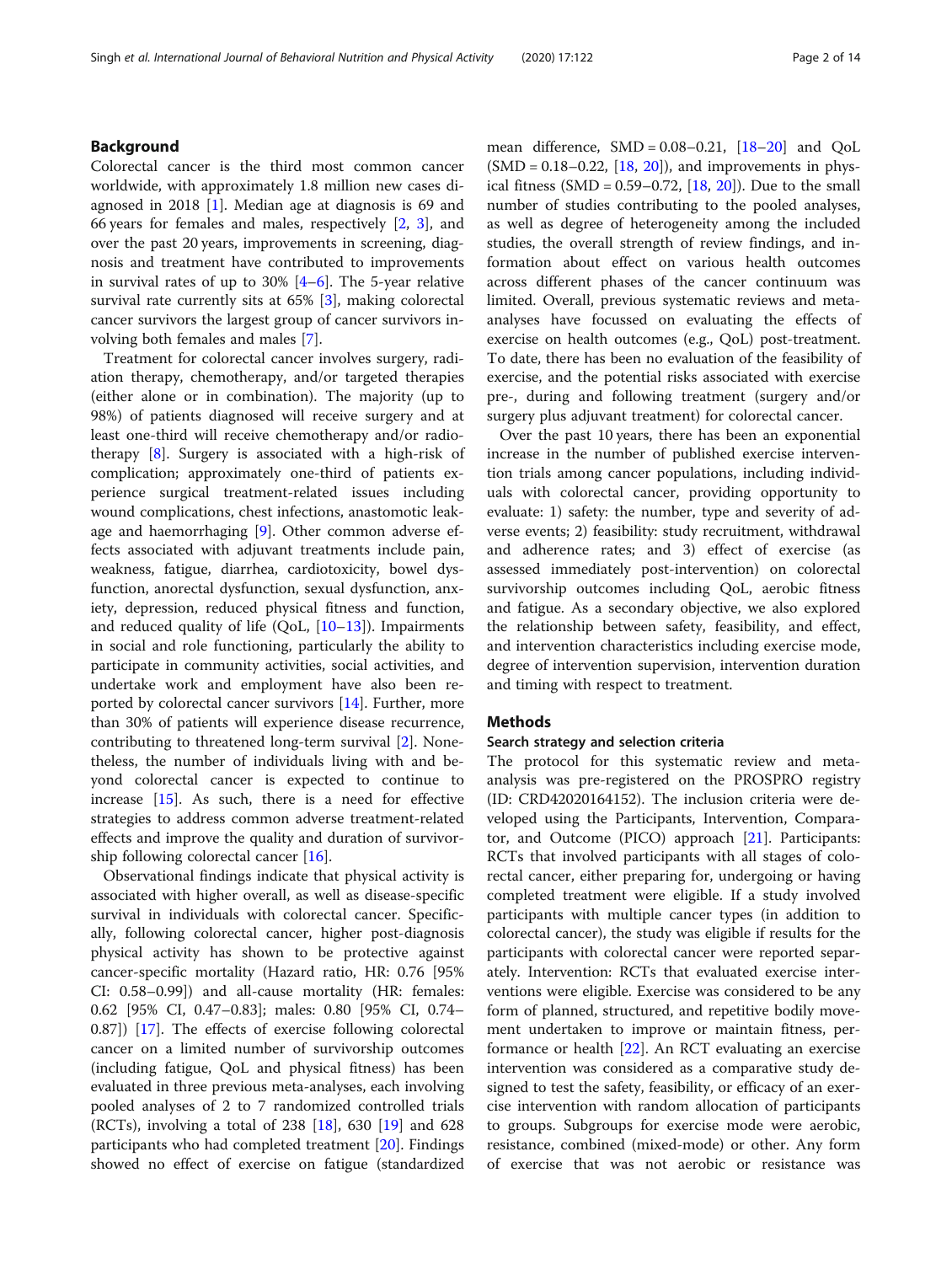# Background

Colorectal cancer is the third most common cancer worldwide, with approximately 1.8 million new cases diagnosed in 2018 [\[1](#page-11-0)]. Median age at diagnosis is 69 and 66 years for females and males, respectively [\[2](#page-11-0), [3\]](#page-11-0), and over the past 20 years, improvements in screening, diagnosis and treatment have contributed to improvements in survival rates of up to  $30\%$  [\[4](#page-11-0)–[6](#page-11-0)]. The 5-year relative survival rate currently sits at 65% [\[3](#page-11-0)], making colorectal cancer survivors the largest group of cancer survivors involving both females and males [[7](#page-11-0)].

Treatment for colorectal cancer involves surgery, radiation therapy, chemotherapy, and/or targeted therapies (either alone or in combination). The majority (up to 98%) of patients diagnosed will receive surgery and at least one-third will receive chemotherapy and/or radiotherapy [[8\]](#page-11-0). Surgery is associated with a high-risk of complication; approximately one-third of patients experience surgical treatment-related issues including wound complications, chest infections, anastomotic leakage and haemorrhaging [\[9](#page-11-0)]. Other common adverse effects associated with adjuvant treatments include pain, weakness, fatigue, diarrhea, cardiotoxicity, bowel dysfunction, anorectal dysfunction, sexual dysfunction, anxiety, depression, reduced physical fitness and function, and reduced quality of life  $(QoL, [10-13])$  $(QoL, [10-13])$  $(QoL, [10-13])$  $(QoL, [10-13])$  $(QoL, [10-13])$ . Impairments in social and role functioning, particularly the ability to participate in community activities, social activities, and undertake work and employment have also been reported by colorectal cancer survivors [\[14\]](#page-11-0). Further, more than 30% of patients will experience disease recurrence, contributing to threatened long-term survival [\[2\]](#page-11-0). Nonetheless, the number of individuals living with and beyond colorectal cancer is expected to continue to increase  $[15]$  $[15]$ . As such, there is a need for effective strategies to address common adverse treatment-related effects and improve the quality and duration of survivorship following colorectal cancer [[16\]](#page-11-0).

Observational findings indicate that physical activity is associated with higher overall, as well as disease-specific survival in individuals with colorectal cancer. Specifically, following colorectal cancer, higher post-diagnosis physical activity has shown to be protective against cancer-specific mortality (Hazard ratio, HR: 0.76 [95% CI: 0.58–0.99]) and all-cause mortality (HR: females: 0.62 [95% CI, 0.47–0.83]; males: 0.80 [95% CI, 0.74– 0.87]) [[17\]](#page-11-0). The effects of exercise following colorectal cancer on a limited number of survivorship outcomes (including fatigue, QoL and physical fitness) has been evaluated in three previous meta-analyses, each involving pooled analyses of 2 to 7 randomized controlled trials (RCTs), involving a total of 238 [[18](#page-12-0)], 630 [[19\]](#page-12-0) and 628 participants who had completed treatment [[20](#page-12-0)]. Findings showed no effect of exercise on fatigue (standardized mean difference,  $SMD = 0.08 - 0.21$ ,  $[18 - 20]$  $[18 - 20]$  $[18 - 20]$  and  $QoL$  $(SMD = 0.18 - 0.22, [18, 20])$  $(SMD = 0.18 - 0.22, [18, 20])$  $(SMD = 0.18 - 0.22, [18, 20])$  $(SMD = 0.18 - 0.22, [18, 20])$  $(SMD = 0.18 - 0.22, [18, 20])$ , and improvements in physical fitness  $(SMD = 0.59 - 0.72, [18, 20])$  $(SMD = 0.59 - 0.72, [18, 20])$  $(SMD = 0.59 - 0.72, [18, 20])$  $(SMD = 0.59 - 0.72, [18, 20])$  $(SMD = 0.59 - 0.72, [18, 20])$ . Due to the small number of studies contributing to the pooled analyses, as well as degree of heterogeneity among the included studies, the overall strength of review findings, and information about effect on various health outcomes across different phases of the cancer continuum was limited. Overall, previous systematic reviews and metaanalyses have focussed on evaluating the effects of exercise on health outcomes (e.g., QoL) post-treatment. To date, there has been no evaluation of the feasibility of exercise, and the potential risks associated with exercise pre-, during and following treatment (surgery and/or surgery plus adjuvant treatment) for colorectal cancer.

Over the past 10 years, there has been an exponential increase in the number of published exercise intervention trials among cancer populations, including individuals with colorectal cancer, providing opportunity to evaluate: 1) safety: the number, type and severity of adverse events; 2) feasibility: study recruitment, withdrawal and adherence rates; and 3) effect of exercise (as assessed immediately post-intervention) on colorectal survivorship outcomes including QoL, aerobic fitness and fatigue. As a secondary objective, we also explored the relationship between safety, feasibility, and effect, and intervention characteristics including exercise mode, degree of intervention supervision, intervention duration and timing with respect to treatment.

# Methods

#### Search strategy and selection criteria

The protocol for this systematic review and metaanalysis was pre-registered on the PROSPRO registry (ID: CRD42020164152). The inclusion criteria were developed using the Participants, Intervention, Comparator, and Outcome (PICO) approach [[21\]](#page-12-0). Participants: RCTs that involved participants with all stages of colorectal cancer, either preparing for, undergoing or having completed treatment were eligible. If a study involved participants with multiple cancer types (in addition to colorectal cancer), the study was eligible if results for the participants with colorectal cancer were reported separately. Intervention: RCTs that evaluated exercise interventions were eligible. Exercise was considered to be any form of planned, structured, and repetitive bodily movement undertaken to improve or maintain fitness, performance or health [[22\]](#page-12-0). An RCT evaluating an exercise intervention was considered as a comparative study designed to test the safety, feasibility, or efficacy of an exercise intervention with random allocation of participants to groups. Subgroups for exercise mode were aerobic, resistance, combined (mixed-mode) or other. Any form of exercise that was not aerobic or resistance was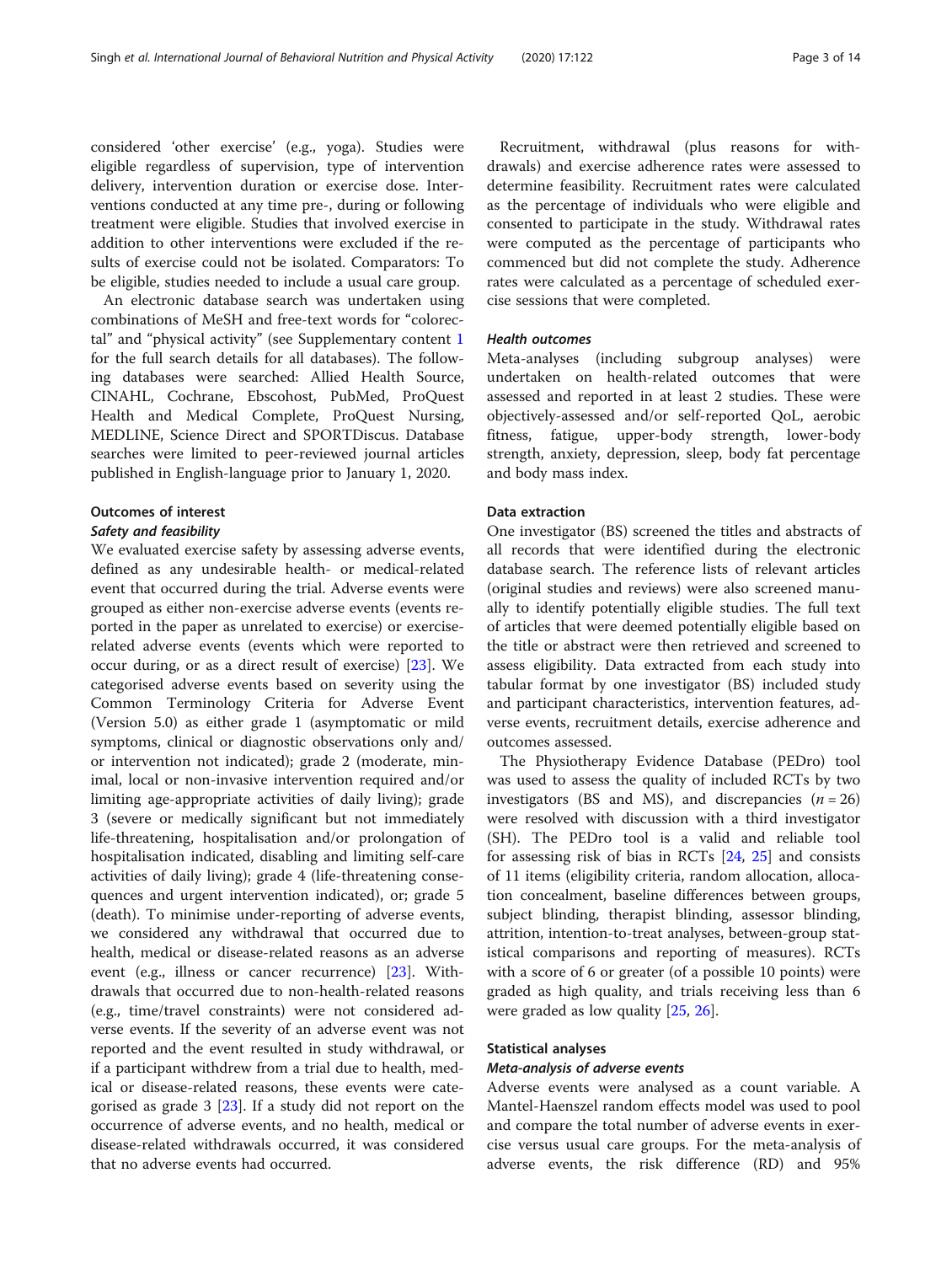considered 'other exercise' (e.g., yoga). Studies were eligible regardless of supervision, type of intervention delivery, intervention duration or exercise dose. Interventions conducted at any time pre-, during or following treatment were eligible. Studies that involved exercise in addition to other interventions were excluded if the results of exercise could not be isolated. Comparators: To be eligible, studies needed to include a usual care group.

An electronic database search was undertaken using combinations of MeSH and free-text words for "colorectal" and "physical activity" (see Supplementary content [1](#page-11-0) for the full search details for all databases). The following databases were searched: Allied Health Source, CINAHL, Cochrane, Ebscohost, PubMed, ProQuest Health and Medical Complete, ProQuest Nursing, MEDLINE, Science Direct and SPORTDiscus. Database searches were limited to peer-reviewed journal articles published in English-language prior to January 1, 2020.

#### Outcomes of interest

## Safety and feasibility

We evaluated exercise safety by assessing adverse events, defined as any undesirable health- or medical-related event that occurred during the trial. Adverse events were grouped as either non-exercise adverse events (events reported in the paper as unrelated to exercise) or exerciserelated adverse events (events which were reported to occur during, or as a direct result of exercise) [\[23](#page-12-0)]. We categorised adverse events based on severity using the Common Terminology Criteria for Adverse Event (Version 5.0) as either grade 1 (asymptomatic or mild symptoms, clinical or diagnostic observations only and/ or intervention not indicated); grade 2 (moderate, minimal, local or non-invasive intervention required and/or limiting age-appropriate activities of daily living); grade 3 (severe or medically significant but not immediately life-threatening, hospitalisation and/or prolongation of hospitalisation indicated, disabling and limiting self-care activities of daily living); grade 4 (life-threatening consequences and urgent intervention indicated), or; grade 5 (death). To minimise under-reporting of adverse events, we considered any withdrawal that occurred due to health, medical or disease-related reasons as an adverse event (e.g., illness or cancer recurrence) [[23\]](#page-12-0). Withdrawals that occurred due to non-health-related reasons (e.g., time/travel constraints) were not considered adverse events. If the severity of an adverse event was not reported and the event resulted in study withdrawal, or if a participant withdrew from a trial due to health, medical or disease-related reasons, these events were categorised as grade 3 [\[23\]](#page-12-0). If a study did not report on the occurrence of adverse events, and no health, medical or disease-related withdrawals occurred, it was considered that no adverse events had occurred.

Recruitment, withdrawal (plus reasons for withdrawals) and exercise adherence rates were assessed to determine feasibility. Recruitment rates were calculated as the percentage of individuals who were eligible and consented to participate in the study. Withdrawal rates were computed as the percentage of participants who commenced but did not complete the study. Adherence rates were calculated as a percentage of scheduled exercise sessions that were completed.

# Health outcomes

Meta-analyses (including subgroup analyses) were undertaken on health-related outcomes that were assessed and reported in at least 2 studies. These were objectively-assessed and/or self-reported QoL, aerobic fitness, fatigue, upper-body strength, lower-body strength, anxiety, depression, sleep, body fat percentage and body mass index.

## Data extraction

One investigator (BS) screened the titles and abstracts of all records that were identified during the electronic database search. The reference lists of relevant articles (original studies and reviews) were also screened manually to identify potentially eligible studies. The full text of articles that were deemed potentially eligible based on the title or abstract were then retrieved and screened to assess eligibility. Data extracted from each study into tabular format by one investigator (BS) included study and participant characteristics, intervention features, adverse events, recruitment details, exercise adherence and outcomes assessed.

The Physiotherapy Evidence Database (PEDro) tool was used to assess the quality of included RCTs by two investigators (BS and MS), and discrepancies  $(n = 26)$ were resolved with discussion with a third investigator (SH). The PEDro tool is a valid and reliable tool for assessing risk of bias in RCTs [\[24](#page-12-0), [25](#page-12-0)] and consists of 11 items (eligibility criteria, random allocation, allocation concealment, baseline differences between groups, subject blinding, therapist blinding, assessor blinding, attrition, intention-to-treat analyses, between-group statistical comparisons and reporting of measures). RCTs with a score of 6 or greater (of a possible 10 points) were graded as high quality, and trials receiving less than 6 were graded as low quality [[25,](#page-12-0) [26\]](#page-12-0).

## Statistical analyses

#### Meta-analysis of adverse events

Adverse events were analysed as a count variable. A Mantel-Haenszel random effects model was used to pool and compare the total number of adverse events in exercise versus usual care groups. For the meta-analysis of adverse events, the risk difference (RD) and 95%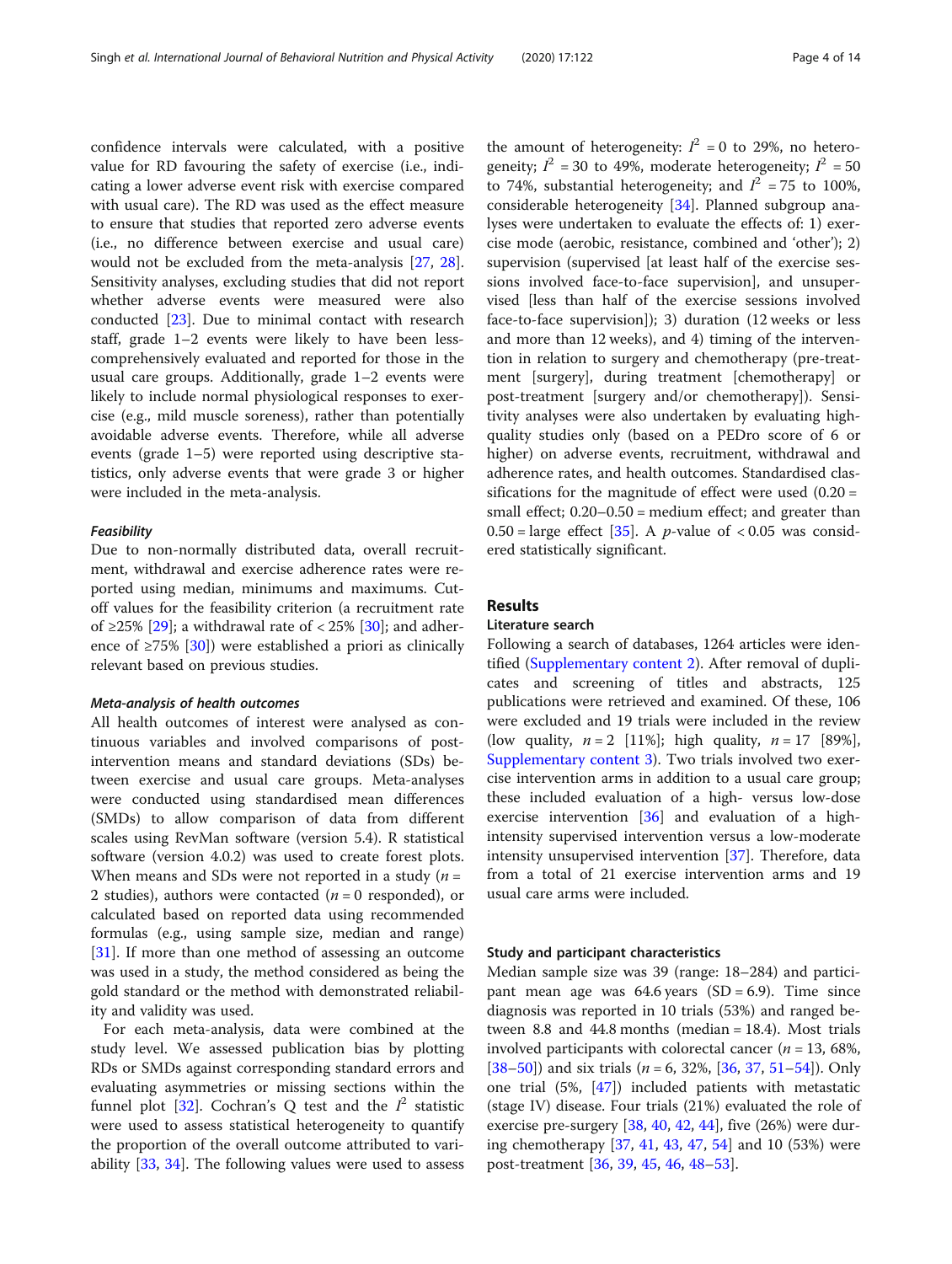confidence intervals were calculated, with a positive value for RD favouring the safety of exercise (i.e., indicating a lower adverse event risk with exercise compared with usual care). The RD was used as the effect measure to ensure that studies that reported zero adverse events (i.e., no difference between exercise and usual care) would not be excluded from the meta-analysis [[27](#page-12-0), [28](#page-12-0)]. Sensitivity analyses, excluding studies that did not report whether adverse events were measured were also conducted [\[23\]](#page-12-0). Due to minimal contact with research staff, grade 1–2 events were likely to have been lesscomprehensively evaluated and reported for those in the usual care groups. Additionally, grade 1–2 events were likely to include normal physiological responses to exercise (e.g., mild muscle soreness), rather than potentially avoidable adverse events. Therefore, while all adverse events (grade 1–5) were reported using descriptive statistics, only adverse events that were grade 3 or higher were included in the meta-analysis.

#### Feasibility

Due to non-normally distributed data, overall recruitment, withdrawal and exercise adherence rates were reported using median, minimums and maximums. Cutoff values for the feasibility criterion (a recruitment rate of ≥25% [[29](#page-12-0)]; a withdrawal rate of < 25% [\[30\]](#page-12-0); and adherence of ≥75% [[30\]](#page-12-0)) were established a priori as clinically relevant based on previous studies.

#### Meta-analysis of health outcomes

All health outcomes of interest were analysed as continuous variables and involved comparisons of postintervention means and standard deviations (SDs) between exercise and usual care groups. Meta-analyses were conducted using standardised mean differences (SMDs) to allow comparison of data from different scales using RevMan software (version 5.4). R statistical software (version 4.0.2) was used to create forest plots. When means and SDs were not reported in a study  $(n =$ 2 studies), authors were contacted ( $n = 0$  responded), or calculated based on reported data using recommended formulas (e.g., using sample size, median and range) [[31\]](#page-12-0). If more than one method of assessing an outcome was used in a study, the method considered as being the gold standard or the method with demonstrated reliability and validity was used.

For each meta-analysis, data were combined at the study level. We assessed publication bias by plotting RDs or SMDs against corresponding standard errors and evaluating asymmetries or missing sections within the funnel plot [[32\]](#page-12-0). Cochran's Q test and the  $I^2$  statistic were used to assess statistical heterogeneity to quantify the proportion of the overall outcome attributed to variability [[33,](#page-12-0) [34\]](#page-12-0). The following values were used to assess

the amount of heterogeneity:  $I^2 = 0$  to 29%, no heterogeneity;  $I^2 = 30$  to 49%, moderate heterogeneity;  $I^2 = 50$ to 74%, substantial heterogeneity; and  $I^2 = 75$  to 100%, considerable heterogeneity [\[34](#page-12-0)]. Planned subgroup analyses were undertaken to evaluate the effects of: 1) exercise mode (aerobic, resistance, combined and 'other'); 2) supervision (supervised [at least half of the exercise sessions involved face-to-face supervision], and unsupervised [less than half of the exercise sessions involved face-to-face supervision]); 3) duration (12 weeks or less and more than 12 weeks), and 4) timing of the intervention in relation to surgery and chemotherapy (pre-treatment [surgery], during treatment [chemotherapy] or post-treatment [surgery and/or chemotherapy]). Sensitivity analyses were also undertaken by evaluating highquality studies only (based on a PEDro score of 6 or higher) on adverse events, recruitment, withdrawal and adherence rates, and health outcomes. Standardised classifications for the magnitude of effect were used  $(0.20 =$ small effect; 0.20–0.50 = medium effect; and greater than  $0.50 = \text{large effect}$  [\[35](#page-12-0)]. A *p*-value of < 0.05 was considered statistically significant.

#### Results

# Literature search

Following a search of databases, 1264 articles were identified ([Supplementary content 2](#page-11-0)). After removal of duplicates and screening of titles and abstracts, 125 publications were retrieved and examined. Of these, 106 were excluded and 19 trials were included in the review (low quality,  $n = 2$  [11%]; high quality,  $n = 17$  [89%], [Supplementary content 3](#page-11-0)). Two trials involved two exercise intervention arms in addition to a usual care group; these included evaluation of a high- versus low-dose exercise intervention [[36\]](#page-12-0) and evaluation of a highintensity supervised intervention versus a low-moderate intensity unsupervised intervention [[37\]](#page-12-0). Therefore, data from a total of 21 exercise intervention arms and 19 usual care arms were included.

#### Study and participant characteristics

Median sample size was 39 (range: 18–284) and participant mean age was  $64.6$  years  $(SD = 6.9)$ . Time since diagnosis was reported in 10 trials (53%) and ranged between 8.8 and 44.8 months (median = 18.4). Most trials involved participants with colorectal cancer ( $n = 13,68\%$ ,  $[38–50]$  $[38–50]$  $[38–50]$  $[38–50]$  $[38–50]$ ) and six trials (*n* = 6, 32%, [\[36](#page-12-0), [37](#page-12-0), [51](#page-12-0)–[54](#page-12-0)]). Only one trial (5%, [\[47\]](#page-12-0)) included patients with metastatic (stage IV) disease. Four trials (21%) evaluated the role of exercise pre-surgery [[38,](#page-12-0) [40,](#page-12-0) [42](#page-12-0), [44](#page-12-0)], five (26%) were during chemotherapy [[37,](#page-12-0) [41,](#page-12-0) [43](#page-12-0), [47](#page-12-0), [54](#page-12-0)] and 10 (53%) were post-treatment [[36](#page-12-0), [39](#page-12-0), [45](#page-12-0), [46](#page-12-0), [48](#page-12-0)–[53\]](#page-12-0).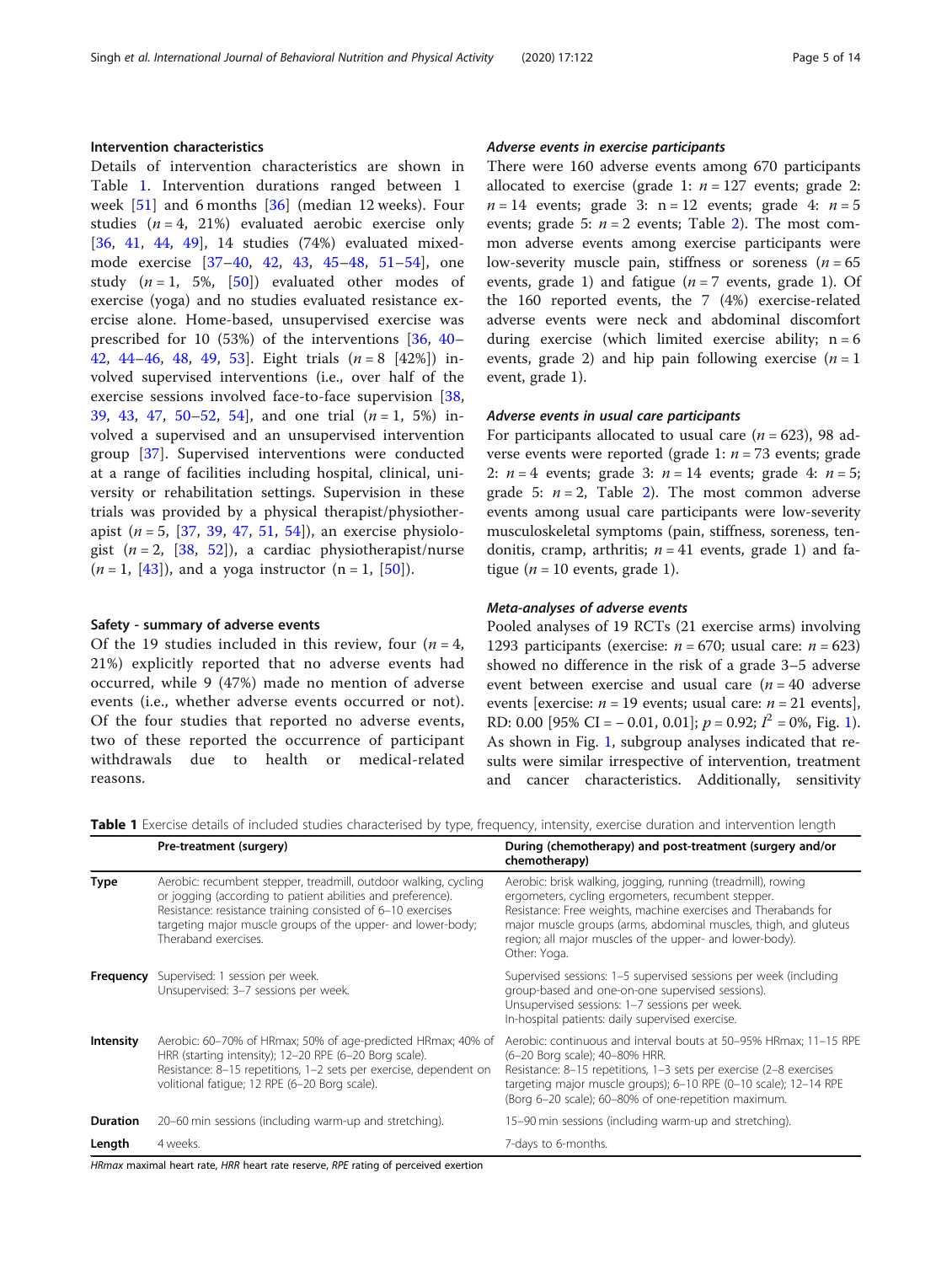# Intervention characteristics

Details of intervention characteristics are shown in Table 1. Intervention durations ranged between 1 week  $[51]$  $[51]$  and 6 months  $[36]$  $[36]$  (median 12 weeks). Four studies  $(n = 4, 21\%)$  evaluated aerobic exercise only [[36,](#page-12-0) [41](#page-12-0), [44](#page-12-0), [49\]](#page-12-0), 14 studies (74%) evaluated mixedmode exercise [[37](#page-12-0)–[40,](#page-12-0) [42,](#page-12-0) [43](#page-12-0), [45](#page-12-0)–[48](#page-12-0), [51](#page-12-0)–[54](#page-12-0)], one study  $(n = 1, 5\%, [50])$  $(n = 1, 5\%, [50])$  $(n = 1, 5\%, [50])$  evaluated other modes of exercise (yoga) and no studies evaluated resistance exercise alone. Home-based, unsupervised exercise was prescribed for 10 (53%) of the interventions [[36,](#page-12-0) [40](#page-12-0)– [42,](#page-12-0) [44](#page-12-0)–[46](#page-12-0), [48](#page-12-0), [49,](#page-12-0) 53. Eight trials  $(n = 8 \, [42\%])$  involved supervised interventions (i.e., over half of the exercise sessions involved face-to-face supervision [\[38](#page-12-0), [39,](#page-12-0) [43](#page-12-0), [47,](#page-12-0) [50](#page-12-0)–[52](#page-12-0), [54](#page-12-0), and one trial  $(n=1, 5\%)$  involved a supervised and an unsupervised intervention group [[37](#page-12-0)]. Supervised interventions were conducted at a range of facilities including hospital, clinical, university or rehabilitation settings. Supervision in these trials was provided by a physical therapist/physiotherapist ( $n = 5$ , [\[37](#page-12-0), [39](#page-12-0), [47,](#page-12-0) [51,](#page-12-0) [54](#page-12-0)]), an exercise physiologist  $(n = 2, [38, 52])$  $(n = 2, [38, 52])$  $(n = 2, [38, 52])$  $(n = 2, [38, 52])$  $(n = 2, [38, 52])$ , a cardiac physiotherapist/nurse  $(n = 1, 43]$ , and a yoga instructor  $(n = 1, 50]$  $(n = 1, 50]$ .

## Safety - summary of adverse events

Of the 19 studies included in this review, four  $(n = 4,$ 21%) explicitly reported that no adverse events had occurred, while 9 (47%) made no mention of adverse events (i.e., whether adverse events occurred or not). Of the four studies that reported no adverse events, two of these reported the occurrence of participant withdrawals due to health or medical-related reasons.

# Adverse events in exercise participants

There were 160 adverse events among 670 participants allocated to exercise (grade 1:  $n = 127$  events; grade 2:  $n = 14$  events; grade 3: n = 12 events; grade 4:  $n = 5$ events; grade 5:  $n = 2$  events; Table [2\)](#page-5-0). The most common adverse events among exercise participants were low-severity muscle pain, stiffness or soreness  $(n = 65)$ events, grade 1) and fatigue  $(n = 7$  events, grade 1). Of the 160 reported events, the 7 (4%) exercise-related adverse events were neck and abdominal discomfort during exercise (which limited exercise ability;  $n = 6$ events, grade 2) and hip pain following exercise  $(n = 1$ event, grade 1).

# Adverse events in usual care participants

For participants allocated to usual care ( $n = 623$ ), 98 adverse events were reported (grade 1:  $n = 73$  events; grade 2:  $n = 4$  events; grade 3:  $n = 14$  events; grade 4:  $n = 5$ ; grade 5:  $n = 2$ , Table [2\)](#page-5-0). The most common adverse events among usual care participants were low-severity musculoskeletal symptoms (pain, stiffness, soreness, tendonitis, cramp, arthritis;  $n = 41$  events, grade 1) and fatigue ( $n = 10$  events, grade 1).

## Meta-analyses of adverse events

Pooled analyses of 19 RCTs (21 exercise arms) involving 1293 participants (exercise:  $n = 670$ ; usual care:  $n = 623$ ) showed no difference in the risk of a grade 3–5 adverse event between exercise and usual care  $(n = 40$  adverse events [exercise:  $n = 19$  events; usual care:  $n = 21$  events], RD: 0.00 [95% CI = -0.0[1](#page-6-0), 0.01];  $p = 0.92$ ;  $I^2 = 0$ %, Fig. 1). As shown in Fig. [1,](#page-6-0) subgroup analyses indicated that results were similar irrespective of intervention, treatment and cancer characteristics. Additionally, sensitivity

Table 1 Exercise details of included studies characterised by type, frequency, intensity, exercise duration and intervention length

|                 | Pre-treatment (surgery)                                                                                                                                                                                                                                                              | During (chemotherapy) and post-treatment (surgery and/or<br>chemotherapy)                                                                                                                                                                                                                                                            |
|-----------------|--------------------------------------------------------------------------------------------------------------------------------------------------------------------------------------------------------------------------------------------------------------------------------------|--------------------------------------------------------------------------------------------------------------------------------------------------------------------------------------------------------------------------------------------------------------------------------------------------------------------------------------|
| Type            | Aerobic: recumbent stepper, treadmill, outdoor walking, cycling<br>or jogging (according to patient abilities and preference).<br>Resistance: resistance training consisted of 6-10 exercises<br>targeting major muscle groups of the upper- and lower-body;<br>Theraband exercises. | Aerobic: brisk walking, jogging, running (treadmill), rowing<br>ergometers, cycling ergometers, recumbent stepper.<br>Resistance: Free weights, machine exercises and Therabands for<br>major muscle groups (arms, abdominal muscles, thigh, and gluteus<br>region; all major muscles of the upper- and lower-body).<br>Other: Yoga. |
|                 | <b>Frequency</b> Supervised: 1 session per week.<br>Unsupervised: 3-7 sessions per week.                                                                                                                                                                                             | Supervised sessions: 1-5 supervised sessions per week (including<br>group-based and one-on-one supervised sessions).<br>Unsupervised sessions: 1-7 sessions per week.<br>In-hospital patients: daily supervised exercise.                                                                                                            |
| Intensity       | Aerobic: 60–70% of HRmax; 50% of age-predicted HRmax; 40% of<br>HRR (starting intensity); 12-20 RPE (6-20 Borg scale).<br>Resistance: 8-15 repetitions, 1-2 sets per exercise, dependent on<br>volitional fatigue; 12 RPE (6-20 Borg scale).                                         | Aerobic: continuous and interval bouts at 50–95% HRmax; 11–15 RPE<br>(6-20 Borg scale); 40-80% HRR.<br>Resistance: 8-15 repetitions, 1-3 sets per exercise (2-8 exercises<br>targeting major muscle groups); 6-10 RPE (0-10 scale); 12-14 RPE<br>(Borg 6-20 scale); 60-80% of one-repetition maximum.                                |
| <b>Duration</b> | 20–60 min sessions (including warm-up and stretching).                                                                                                                                                                                                                               | 15–90 min sessions (including warm-up and stretching).                                                                                                                                                                                                                                                                               |
| Length          | 4 weeks.                                                                                                                                                                                                                                                                             | 7-days to 6-months.                                                                                                                                                                                                                                                                                                                  |

HRmax maximal heart rate, HRR heart rate reserve, RPE rating of perceived exertion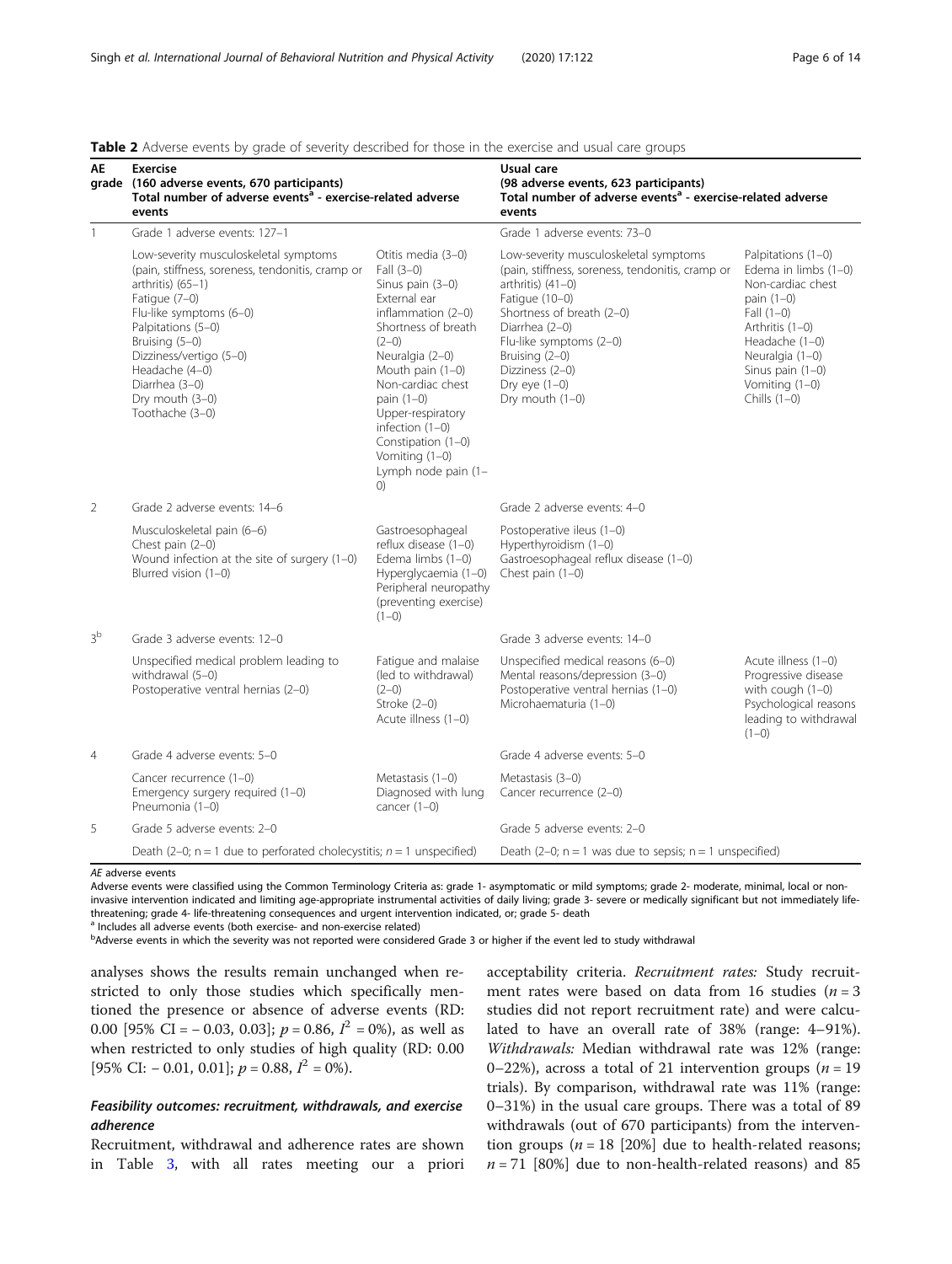# <span id="page-5-0"></span>Table 2 Adverse events by grade of severity described for those in the exercise and usual care groups

| AE             | <b>Exercise</b><br>grade (160 adverse events, 670 participants)<br>Total number of adverse events <sup>a</sup> - exercise-related adverse<br>events                                                                                                                                                       |                                                                                                                                                                                                                                                                                                                              | Usual care<br>(98 adverse events, 623 participants)<br>Total number of adverse events <sup>a</sup> - exercise-related adverse<br>events                                                                                                                                                 |                                                                                                                                                                                                                   |  |  |
|----------------|-----------------------------------------------------------------------------------------------------------------------------------------------------------------------------------------------------------------------------------------------------------------------------------------------------------|------------------------------------------------------------------------------------------------------------------------------------------------------------------------------------------------------------------------------------------------------------------------------------------------------------------------------|-----------------------------------------------------------------------------------------------------------------------------------------------------------------------------------------------------------------------------------------------------------------------------------------|-------------------------------------------------------------------------------------------------------------------------------------------------------------------------------------------------------------------|--|--|
| $\mathbf{1}$   | Grade 1 adverse events: 127-1                                                                                                                                                                                                                                                                             |                                                                                                                                                                                                                                                                                                                              | Grade 1 adverse events: 73-0                                                                                                                                                                                                                                                            |                                                                                                                                                                                                                   |  |  |
|                | Low-severity musculoskeletal symptoms<br>(pain, stiffness, soreness, tendonitis, cramp or<br>$arthritis)$ (65-1)<br>Fatigue (7-0)<br>Flu-like symptoms (6-0)<br>Palpitations (5-0)<br>Bruising (5-0)<br>Dizziness/vertigo (5-0)<br>Headache (4-0)<br>Diarrhea (3-0)<br>Dry mouth (3-0)<br>Toothache (3-0) | Otitis media (3-0)<br>Fall $(3-0)$<br>Sinus pain (3-0)<br>External ear<br>inflammation $(2-0)$<br>Shortness of breath<br>$(2-0)$<br>Neuralgia (2-0)<br>Mouth pain $(1-0)$<br>Non-cardiac chest<br>pain (1-0)<br>Upper-respiratory<br>infection $(1-0)$<br>Constipation (1-0)<br>Vomiting (1-0)<br>Lymph node pain (1-<br>(0) | Low-severity musculoskeletal symptoms<br>(pain, stiffness, soreness, tendonitis, cramp or<br>arthritis) $(41-0)$<br>Fatigue (10-0)<br>Shortness of breath (2-0)<br>Diarrhea (2-0)<br>Flu-like symptoms (2-0)<br>Bruising (2-0)<br>Dizziness (2-0)<br>Dry eye $(1-0)$<br>Dry mouth (1-0) | Palpitations (1-0)<br>Edema in limbs (1-0)<br>Non-cardiac chest<br>pain $(1-0)$<br>Fall $(1-0)$<br>Arthritis (1-0)<br>Headache (1-0)<br>Neuralgia (1-0)<br>Sinus pain $(1-0)$<br>Vomiting (1-0)<br>Chills $(1-0)$ |  |  |
| 2              | Grade 2 adverse events: 14-6                                                                                                                                                                                                                                                                              |                                                                                                                                                                                                                                                                                                                              | Grade 2 adverse events: 4-0                                                                                                                                                                                                                                                             |                                                                                                                                                                                                                   |  |  |
|                | Musculoskeletal pain (6-6)<br>Chest pain (2-0)<br>Wound infection at the site of surgery $(1-0)$<br>Blurred vision (1-0)                                                                                                                                                                                  | Gastroesophageal<br>reflux disease (1-0)<br>Edema limbs (1-0)<br>Hyperglycaemia (1-0)<br>Peripheral neuropathy<br>(preventing exercise)<br>$(1-0)$                                                                                                                                                                           | Postoperative ileus (1-0)<br>Hyperthyroidism (1-0)<br>Gastroesophageal reflux disease (1-0)<br>Chest pain $(1-0)$                                                                                                                                                                       |                                                                                                                                                                                                                   |  |  |
| 3 <sup>b</sup> | Grade 3 adverse events: 12-0                                                                                                                                                                                                                                                                              |                                                                                                                                                                                                                                                                                                                              | Grade 3 adverse events: 14-0                                                                                                                                                                                                                                                            |                                                                                                                                                                                                                   |  |  |
|                | Unspecified medical problem leading to<br>withdrawal (5-0)<br>Postoperative ventral hernias (2-0)                                                                                                                                                                                                         | Fatique and malaise<br>(led to withdrawal)<br>$(2-0)$<br>Stroke $(2-0)$<br>Acute illness (1-0)                                                                                                                                                                                                                               | Unspecified medical reasons (6-0)<br>Mental reasons/depression (3-0)<br>Postoperative ventral hernias (1-0)<br>Microhaematuria (1-0)                                                                                                                                                    | Acute illness (1-0)<br>Progressive disease<br>with cough (1-0)<br>Psychological reasons<br>leading to withdrawal<br>$(1-0)$                                                                                       |  |  |
| $\overline{4}$ | Grade 4 adverse events: 5-0                                                                                                                                                                                                                                                                               |                                                                                                                                                                                                                                                                                                                              | Grade 4 adverse events: 5-0                                                                                                                                                                                                                                                             |                                                                                                                                                                                                                   |  |  |
|                | Cancer recurrence (1-0)<br>Emergency surgery required (1-0)<br>Pneumonia (1-0)                                                                                                                                                                                                                            | Metastasis (1-0)<br>Diagnosed with lung<br>cancer $(1-0)$                                                                                                                                                                                                                                                                    | Metastasis (3-0)<br>Cancer recurrence (2-0)                                                                                                                                                                                                                                             |                                                                                                                                                                                                                   |  |  |
| 5              | Grade 5 adverse events: 2-0                                                                                                                                                                                                                                                                               |                                                                                                                                                                                                                                                                                                                              | Grade 5 adverse events: 2-0                                                                                                                                                                                                                                                             |                                                                                                                                                                                                                   |  |  |
|                | Death (2-0; $n = 1$ due to perforated cholecystitis; $n = 1$ unspecified)                                                                                                                                                                                                                                 |                                                                                                                                                                                                                                                                                                                              | Death (2-0; $n = 1$ was due to sepsis; $n = 1$ unspecified)                                                                                                                                                                                                                             |                                                                                                                                                                                                                   |  |  |

AE adverse events

Adverse events were classified using the Common Terminology Criteria as: grade 1- asymptomatic or mild symptoms; grade 2- moderate, minimal, local or noninvasive intervention indicated and limiting age-appropriate instrumental activities of daily living; grade 3- severe or medically significant but not immediately lifethreatening; grade 4- life-threatening consequences and urgent intervention indicated, or; grade 5- death <sup>1</sup> Includes all adverse events (both exercise- and non-exercise related)

bAdverse events in which the severity was not reported were considered Grade 3 or higher if the event led to study withdrawal

analyses shows the results remain unchanged when restricted to only those studies which specifically mentioned the presence or absence of adverse events (RD: 0.00 [95% CI = -0.03, 0.03];  $p = 0.86$ ,  $I^2 = 0$ %), as well as when restricted to only studies of high quality (RD: 0.00 [95% CI:  $-$  0.01, 0.01];  $p = 0.88$ ,  $I^2 = 0$ %).

# Feasibility outcomes: recruitment, withdrawals, and exercise adherence

Recruitment, withdrawal and adherence rates are shown in Table [3](#page-7-0), with all rates meeting our a priori

acceptability criteria. Recruitment rates: Study recruitment rates were based on data from 16 studies ( $n = 3$ studies did not report recruitment rate) and were calculated to have an overall rate of 38% (range: 4–91%). Withdrawals: Median withdrawal rate was 12% (range: 0–22%), across a total of 21 intervention groups ( $n = 19$ ) trials). By comparison, withdrawal rate was 11% (range: 0–31%) in the usual care groups. There was a total of 89 withdrawals (out of 670 participants) from the intervention groups ( $n = 18$  [20%] due to health-related reasons;  $n = 71$  [80%] due to non-health-related reasons) and 85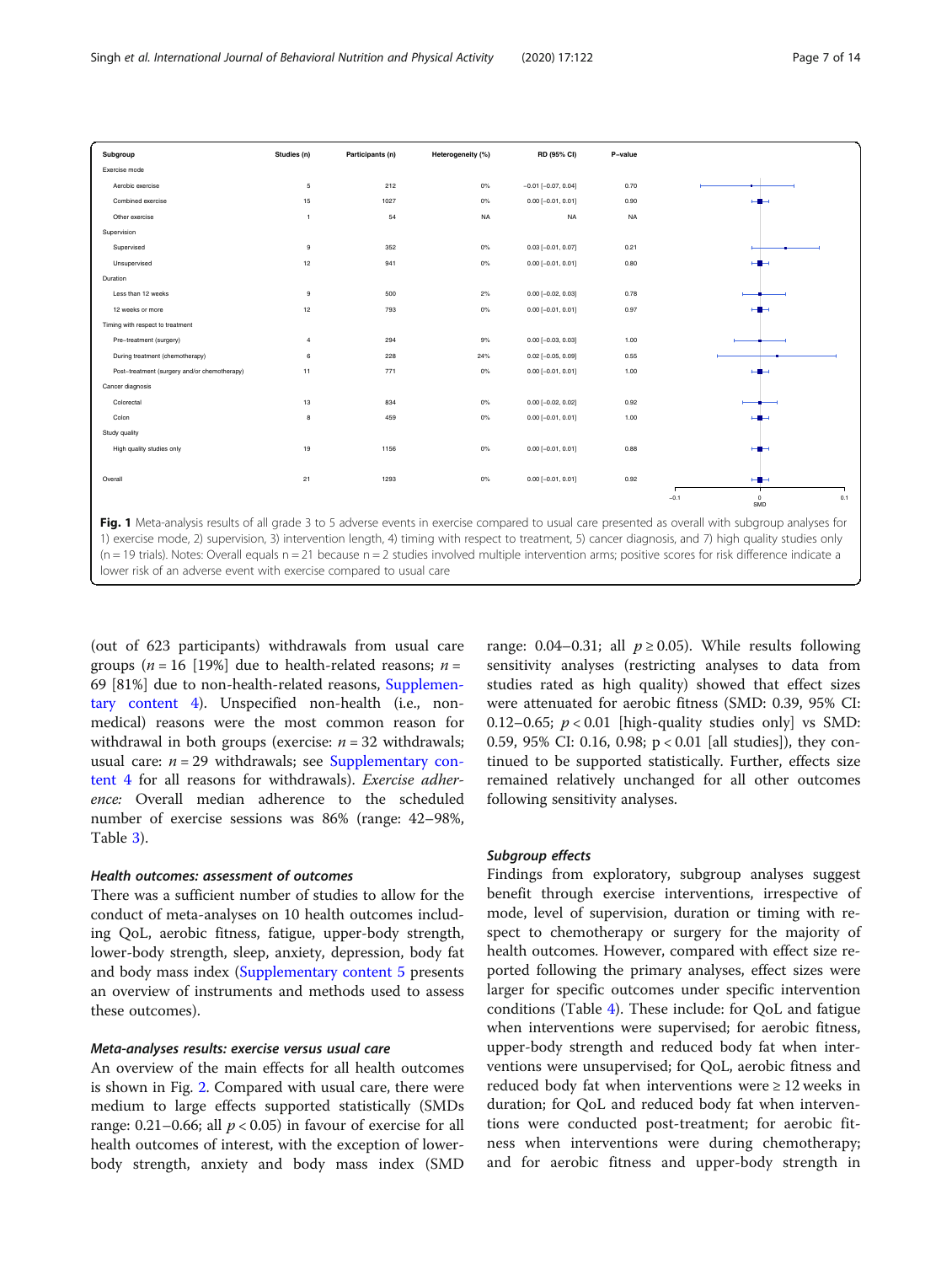<span id="page-6-0"></span>

| Subgroup                                     | Studies (n)  | Participants (n) | Heterogeneity (%) | RD (95% CI)               | P-value   |        |                   |     |
|----------------------------------------------|--------------|------------------|-------------------|---------------------------|-----------|--------|-------------------|-----|
| Exercise mode                                |              |                  |                   |                           |           |        |                   |     |
| Aerobic exercise                             | 5            | 212              | $0\%$             | $-0.01$ [ $-0.07, 0.04$ ] | 0.70      |        |                   |     |
| Combined exercise                            | 15           | 1027             | $0\%$             | $0.00$ [-0.01, 0.01]      | 0.90      |        |                   |     |
| Other exercise                               | $\mathbf{1}$ | 54               | <b>NA</b>         | <b>NA</b>                 | <b>NA</b> |        |                   |     |
| Supervision                                  |              |                  |                   |                           |           |        |                   |     |
| Supervised                                   | 9            | 352              | $0\%$             | $0.03$ [-0.01, 0.07]      | 0.21      |        |                   |     |
| Unsupervised                                 | 12           | 941              | 0%                | $0.00$ [-0.01, 0.01]      | 0.80      |        |                   |     |
| Duration                                     |              |                  |                   |                           |           |        |                   |     |
| Less than 12 weeks                           | 9            | 500              | 2%                | $0.00[-0.02, 0.03]$       | 0.78      |        |                   |     |
| 12 weeks or more                             | 12           | 793              | 0%                | $0.00$ [-0.01, 0.01]      | 0.97      |        |                   |     |
| Timing with respect to treatment             |              |                  |                   |                           |           |        |                   |     |
| Pre-treatment (surgery)                      | 4            | 294              | 9%                | $0.00$ [-0.03, 0.03]      | 1.00      |        |                   |     |
| During treatment (chemotherapy)              | 6            | 228              | 24%               | $0.02$ [-0.05, 0.09]      | 0.55      |        |                   |     |
| Post-treatment (surgery and/or chemotherapy) | 11           | 771              | $0\%$             | $0.00$ [-0.01, 0.01]      | 1.00      |        |                   |     |
| Cancer diagnosis                             |              |                  |                   |                           |           |        |                   |     |
| Colorectal                                   | 13           | 834              | $0\%$             | $0.00$ [-0.02, 0.02]      | 0.92      |        |                   |     |
| Colon                                        | 8            | 459              | 0%                | $0.00$ [-0.01, 0.01]      | 1.00      |        |                   |     |
| Study quality                                |              |                  |                   |                           |           |        |                   |     |
| High quality studies only                    | 19           | 1156             | $0\%$             | $0.00$ [-0.01, 0.01]      | 0.88      |        |                   |     |
| Overall                                      | 21           | 1293             | 0%                | $0.00$ [-0.01, 0.01]      | 0.92      |        | $-$               |     |
|                                              |              |                  |                   |                           |           |        |                   |     |
|                                              |              |                  |                   |                           |           | $-0.1$ | $^{\circ}$<br>SMD | 0.1 |

(out of 623 participants) withdrawals from usual care groups ( $n = 16$  [19%] due to health-related reasons;  $n =$ 69 [81%] due to non-health-related reasons, [Supplemen](#page-11-0)[tary content 4](#page-11-0)). Unspecified non-health (i.e., nonmedical) reasons were the most common reason for withdrawal in both groups (exercise:  $n = 32$  withdrawals; usual care:  $n = 29$  withdrawals; see [Supplementary con](#page-11-0)[tent 4](#page-11-0) for all reasons for withdrawals). Exercise adherence: Overall median adherence to the scheduled number of exercise sessions was 86% (range: 42–98%, Table [3\)](#page-7-0).

lower risk of an adverse event with exercise compared to usual care

#### Health outcomes: assessment of outcomes

There was a sufficient number of studies to allow for the conduct of meta-analyses on 10 health outcomes including QoL, aerobic fitness, fatigue, upper-body strength, lower-body strength, sleep, anxiety, depression, body fat and body mass index ([Supplementary content 5](#page-11-0) presents an overview of instruments and methods used to assess these outcomes).

## Meta-analyses results: exercise versus usual care

An overview of the main effects for all health outcomes is shown in Fig. [2.](#page-8-0) Compared with usual care, there were medium to large effects supported statistically (SMDs range: 0.21–0.66; all  $p < 0.05$ ) in favour of exercise for all health outcomes of interest, with the exception of lowerbody strength, anxiety and body mass index (SMD range: 0.04–0.31; all  $p \ge 0.05$ ). While results following sensitivity analyses (restricting analyses to data from studies rated as high quality) showed that effect sizes were attenuated for aerobic fitness (SMD: 0.39, 95% CI: 0.12–0.65;  $p < 0.01$  [high-quality studies only] vs SMD: 0.59, 95% CI: 0.16, 0.98; p < 0.01 [all studies]), they continued to be supported statistically. Further, effects size remained relatively unchanged for all other outcomes following sensitivity analyses.

# Subgroup effects

Findings from exploratory, subgroup analyses suggest benefit through exercise interventions, irrespective of mode, level of supervision, duration or timing with respect to chemotherapy or surgery for the majority of health outcomes. However, compared with effect size reported following the primary analyses, effect sizes were larger for specific outcomes under specific intervention conditions (Table [4](#page-9-0)). These include: for QoL and fatigue when interventions were supervised; for aerobic fitness, upper-body strength and reduced body fat when interventions were unsupervised; for QoL, aerobic fitness and reduced body fat when interventions were  $\geq 12$  weeks in duration; for QoL and reduced body fat when interventions were conducted post-treatment; for aerobic fitness when interventions were during chemotherapy; and for aerobic fitness and upper-body strength in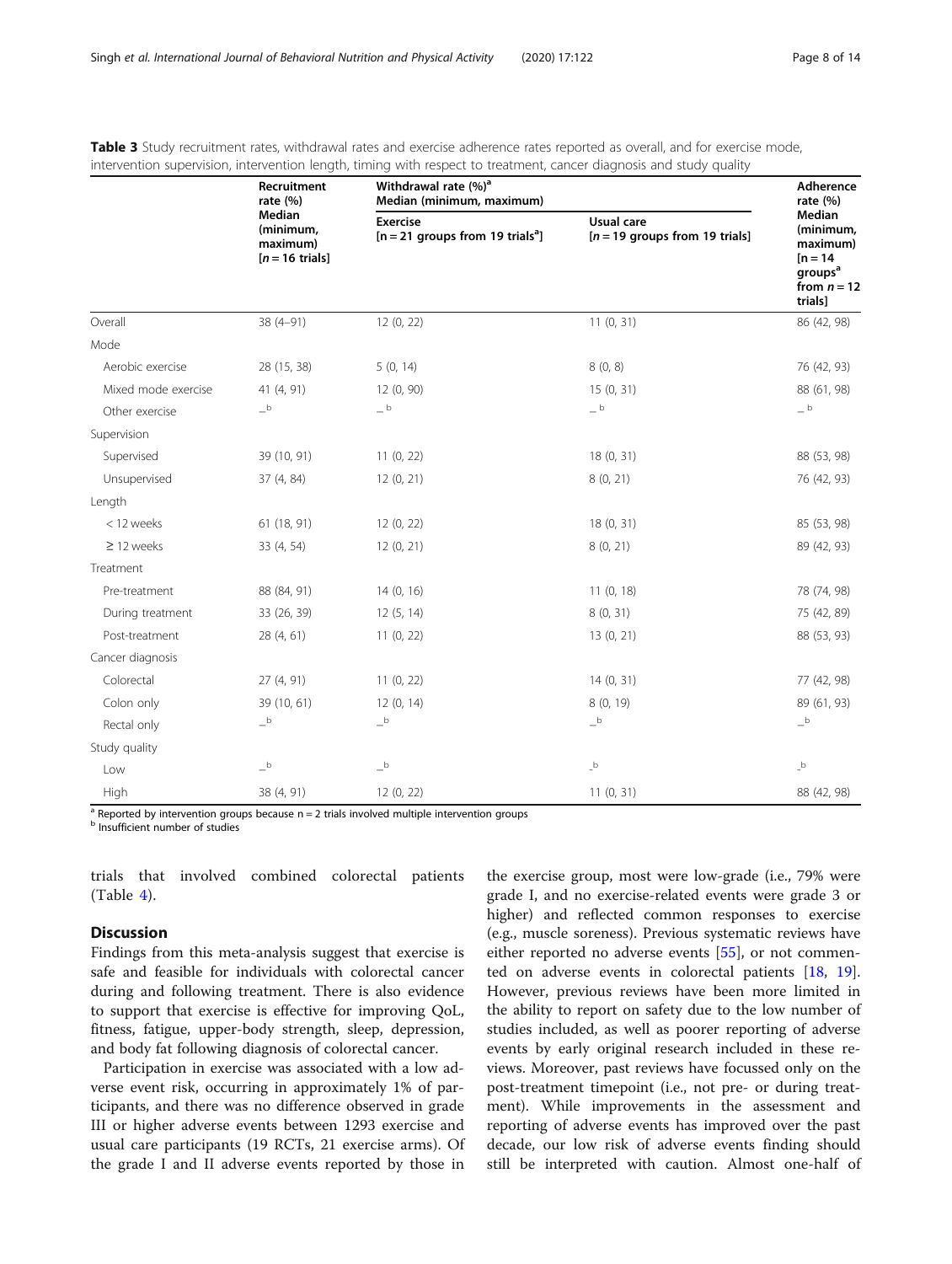|                     | Recruitment<br>rate $(\%)$                                   | Withdrawal rate (%) <sup>a</sup><br>Median (minimum, maximum)     | Adherence<br>rate $(%)$                        |                                                                                                  |
|---------------------|--------------------------------------------------------------|-------------------------------------------------------------------|------------------------------------------------|--------------------------------------------------------------------------------------------------|
|                     | Median<br>(minimum,<br>maximum)<br>$[n = 16 \text{ trials}]$ | <b>Exercise</b><br>$[n = 21$ groups from 19 trials <sup>a</sup> ] | Usual care<br>$[n = 19$ groups from 19 trials] | Median<br>(minimum,<br>maximum)<br>$[n = 14]$<br>groups <sup>a</sup><br>from $n = 12$<br>trials] |
| Overall             | $38(4-91)$                                                   | 12(0, 22)                                                         | 11(0, 31)                                      | 86 (42, 98)                                                                                      |
| Mode                |                                                              |                                                                   |                                                |                                                                                                  |
| Aerobic exercise    | 28 (15, 38)                                                  | 5(0, 14)                                                          | 8(0, 8)                                        | 76 (42, 93)                                                                                      |
| Mixed mode exercise | 41 (4, 91)                                                   | 12(0, 90)                                                         | 15(0, 31)                                      | 88 (61, 98)                                                                                      |
| Other exercise      | $^{\rm -b}$                                                  | $\_$ b                                                            | $\_$ b                                         | $\_$ b                                                                                           |
| Supervision         |                                                              |                                                                   |                                                |                                                                                                  |
| Supervised          | 39 (10, 91)                                                  | 11 (0, 22)                                                        | 18 (0, 31)                                     | 88 (53, 98)                                                                                      |
| Unsupervised        | 37 (4, 84)                                                   | 12(0, 21)                                                         | 8(0, 21)                                       | 76 (42, 93)                                                                                      |
| Length              |                                                              |                                                                   |                                                |                                                                                                  |
| < 12 weeks          | 61 (18, 91)                                                  | 12(0, 22)                                                         | 18(0, 31)                                      | 85 (53, 98)                                                                                      |
| $\geq$ 12 weeks     | 33 (4, 54)                                                   | 12(0, 21)                                                         | 8(0, 21)                                       | 89 (42, 93)                                                                                      |
| Treatment           |                                                              |                                                                   |                                                |                                                                                                  |
| Pre-treatment       | 88 (84, 91)                                                  | 14(0, 16)                                                         | 11(0, 18)                                      | 78 (74, 98)                                                                                      |
| During treatment    | 33 (26, 39)                                                  | 12(5, 14)                                                         | 8(0, 31)                                       | 75 (42, 89)                                                                                      |
| Post-treatment      | 28 (4, 61)                                                   | 11(0, 22)                                                         | 13(0, 21)                                      | 88 (53, 93)                                                                                      |
| Cancer diagnosis    |                                                              |                                                                   |                                                |                                                                                                  |
| Colorectal          | 27 (4, 91)                                                   | 11(0, 22)                                                         | 14(0, 31)                                      | 77 (42, 98)                                                                                      |
| Colon only          | 39 (10, 61)                                                  | 12(0, 14)                                                         | 8 (0, 19)                                      | 89 (61, 93)                                                                                      |
| Rectal only         | $-{}^{\rm b}$                                                | $\mathsf{-}^\mathsf{b}$                                           | $\_^{\rm b}$                                   | $\mathsf{-}^\mathsf{b}$                                                                          |
| Study quality       |                                                              |                                                                   |                                                |                                                                                                  |
| Low                 | $\mathsf{-}^\mathsf{b}$                                      | $\mathsf{-}^\mathsf{b}$                                           | $\_b$                                          | $\mathsf{b}$                                                                                     |
| High                | 38 (4, 91)                                                   | 12(0, 22)                                                         | 11(0, 31)                                      | 88 (42, 98)                                                                                      |

<span id="page-7-0"></span>Table 3 Study recruitment rates, withdrawal rates and exercise adherence rates reported as overall, and for exercise mode, intervention supervision, intervention length, timing with respect to treatment, cancer diagnosis and study quality

 $a$  Reported by intervention groups because  $n = 2$  trials involved multiple intervention groups

**b** Insufficient number of studies

trials that involved combined colorectal patients (Table [4](#page-9-0)).

#### Discussion

Findings from this meta-analysis suggest that exercise is safe and feasible for individuals with colorectal cancer during and following treatment. There is also evidence to support that exercise is effective for improving QoL, fitness, fatigue, upper-body strength, sleep, depression, and body fat following diagnosis of colorectal cancer.

Participation in exercise was associated with a low adverse event risk, occurring in approximately 1% of participants, and there was no difference observed in grade III or higher adverse events between 1293 exercise and usual care participants (19 RCTs, 21 exercise arms). Of the grade I and II adverse events reported by those in

the exercise group, most were low-grade (i.e., 79% were grade I, and no exercise-related events were grade 3 or higher) and reflected common responses to exercise (e.g., muscle soreness). Previous systematic reviews have either reported no adverse events [[55\]](#page-12-0), or not commented on adverse events in colorectal patients [[18,](#page-12-0) [19](#page-12-0)]. However, previous reviews have been more limited in the ability to report on safety due to the low number of studies included, as well as poorer reporting of adverse events by early original research included in these reviews. Moreover, past reviews have focussed only on the post-treatment timepoint (i.e., not pre- or during treatment). While improvements in the assessment and reporting of adverse events has improved over the past decade, our low risk of adverse events finding should still be interpreted with caution. Almost one-half of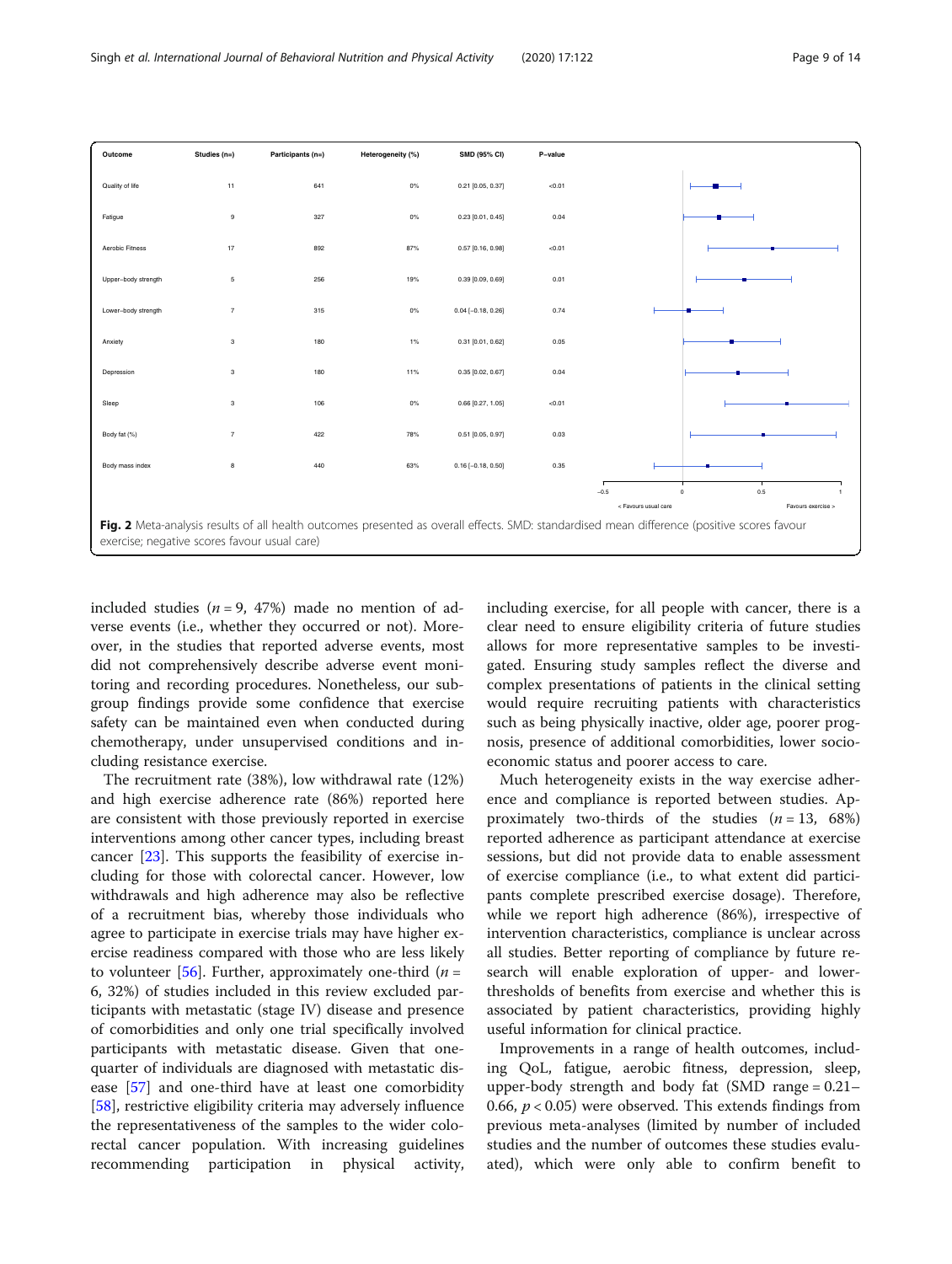<span id="page-8-0"></span>

included studies ( $n = 9$ , 47%) made no mention of adverse events (i.e., whether they occurred or not). Moreover, in the studies that reported adverse events, most did not comprehensively describe adverse event monitoring and recording procedures. Nonetheless, our subgroup findings provide some confidence that exercise safety can be maintained even when conducted during chemotherapy, under unsupervised conditions and including resistance exercise.

The recruitment rate (38%), low withdrawal rate (12%) and high exercise adherence rate (86%) reported here are consistent with those previously reported in exercise interventions among other cancer types, including breast cancer [[23](#page-12-0)]. This supports the feasibility of exercise including for those with colorectal cancer. However, low withdrawals and high adherence may also be reflective of a recruitment bias, whereby those individuals who agree to participate in exercise trials may have higher exercise readiness compared with those who are less likely to volunteer [[56\]](#page-12-0). Further, approximately one-third ( $n =$ 6, 32%) of studies included in this review excluded participants with metastatic (stage IV) disease and presence of comorbidities and only one trial specifically involved participants with metastatic disease. Given that onequarter of individuals are diagnosed with metastatic disease [[57](#page-12-0)] and one-third have at least one comorbidity [[58\]](#page-13-0), restrictive eligibility criteria may adversely influence the representativeness of the samples to the wider colorectal cancer population. With increasing guidelines recommending participation in physical activity, including exercise, for all people with cancer, there is a clear need to ensure eligibility criteria of future studies allows for more representative samples to be investigated. Ensuring study samples reflect the diverse and complex presentations of patients in the clinical setting would require recruiting patients with characteristics such as being physically inactive, older age, poorer prognosis, presence of additional comorbidities, lower socioeconomic status and poorer access to care.

Much heterogeneity exists in the way exercise adherence and compliance is reported between studies. Approximately two-thirds of the studies  $(n = 13, 68%)$ reported adherence as participant attendance at exercise sessions, but did not provide data to enable assessment of exercise compliance (i.e., to what extent did participants complete prescribed exercise dosage). Therefore, while we report high adherence (86%), irrespective of intervention characteristics, compliance is unclear across all studies. Better reporting of compliance by future research will enable exploration of upper- and lowerthresholds of benefits from exercise and whether this is associated by patient characteristics, providing highly useful information for clinical practice.

Improvements in a range of health outcomes, including QoL, fatigue, aerobic fitness, depression, sleep, upper-body strength and body fat (SMD range = 0.21– 0.66,  $p < 0.05$ ) were observed. This extends findings from previous meta-analyses (limited by number of included studies and the number of outcomes these studies evaluated), which were only able to confirm benefit to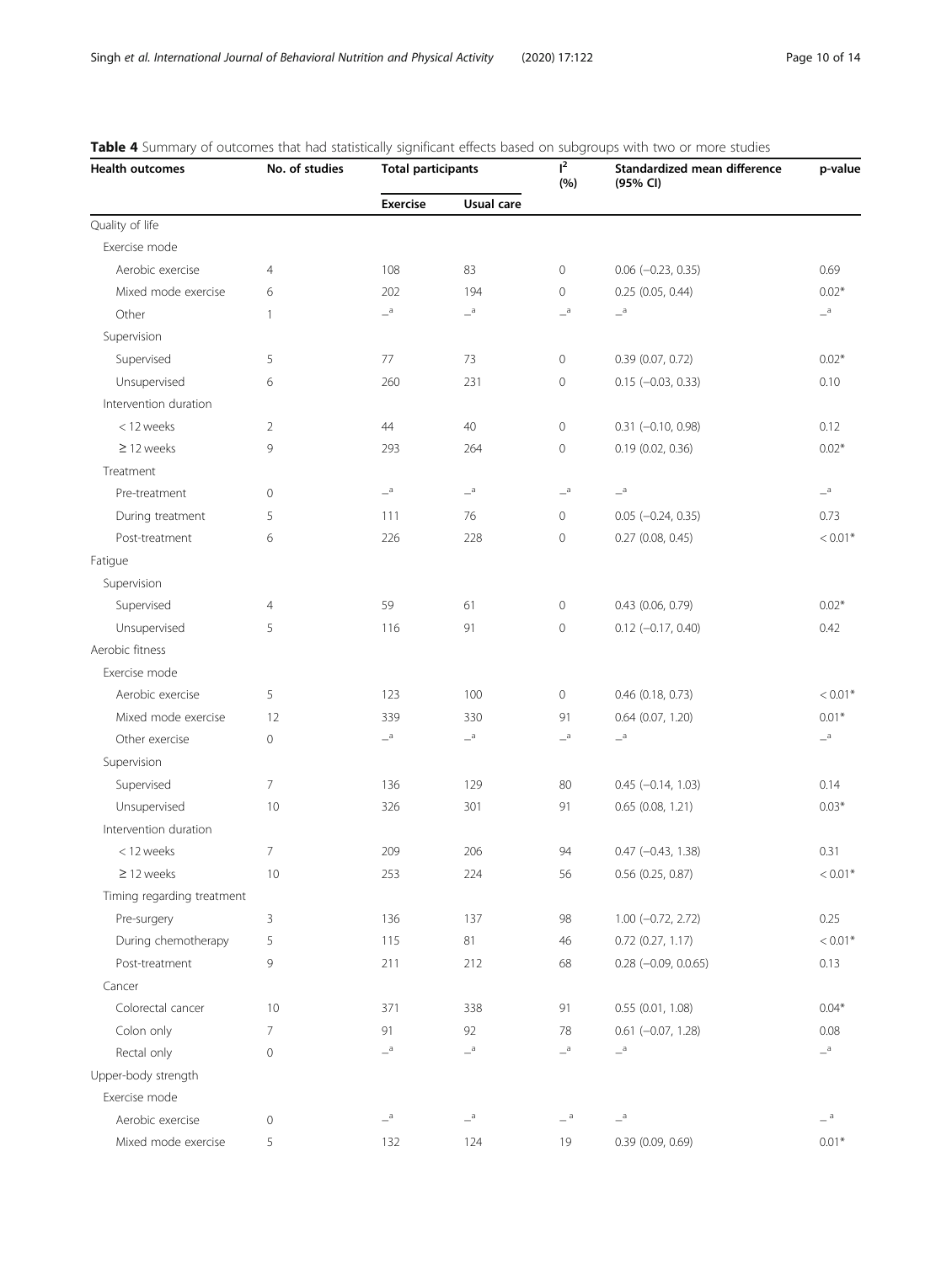| <b>Health outcomes</b>     | No. of studies | <b>Total participants</b> |                    | $I^2$<br>(%)               | Standardized mean difference<br>(95% CI) | p-value          |
|----------------------------|----------------|---------------------------|--------------------|----------------------------|------------------------------------------|------------------|
|                            |                | <b>Exercise</b>           | Usual care         |                            |                                          |                  |
| Quality of life            |                |                           |                    |                            |                                          |                  |
| Exercise mode              |                |                           |                    |                            |                                          |                  |
| Aerobic exercise           | $\overline{4}$ | 108                       | 83                 | $\circ$                    | $0.06$ (-0.23, 0.35)                     | 0.69             |
| Mixed mode exercise        | 6              | 202                       | 194                | $\circ$                    | $0.25$ (0.05, 0.44)                      | $0.02*$          |
| Other                      | $\mathbf{1}$   | $-^{\mathrm{a}}$          | $a =$              | $-{}^a$                    | $-{}^a$                                  | $-{}^a$          |
| Supervision                |                |                           |                    |                            |                                          |                  |
| Supervised                 | 5              | 77                        | 73                 | $\circ$                    | 0.39(0.07, 0.72)                         | $0.02*$          |
| Unsupervised               | 6              | 260                       | 231                | $\mathsf{O}\xspace$        | $0.15 (-0.03, 0.33)$                     | 0.10             |
| Intervention duration      |                |                           |                    |                            |                                          |                  |
| < 12 weeks                 | 2              | 44                        | 40                 | $\circ$                    | $0.31 (-0.10, 0.98)$                     | 0.12             |
| $\geq$ 12 weeks            | 9              | 293                       | 264                | $\mathsf{O}\xspace$        | 0.19 (0.02, 0.36)                        | $0.02*$          |
| Treatment                  |                |                           |                    |                            |                                          |                  |
| Pre-treatment              | 0              | $-{}^{\mathrm{a}}$        | $-{}^{\mathrm{a}}$ | $\overline{\phantom{a}}^a$ | $-{}^a$                                  | $-{}^a$          |
| During treatment           | 5              | 111                       | 76                 | $\circ$                    | $0.05 (-0.24, 0.35)$                     | 0.73             |
| Post-treatment             | 6              | 226                       | 228                | $\circ$                    | $0.27$ (0.08, 0.45)                      | $< 0.01*$        |
| Fatigue                    |                |                           |                    |                            |                                          |                  |
| Supervision                |                |                           |                    |                            |                                          |                  |
| Supervised                 | 4              | 59                        | 61                 | $\circ$                    | $0.43$ (0.06, 0.79)                      | $0.02*$          |
| Unsupervised               | 5              | 116                       | 91                 | 0                          | $0.12 (-0.17, 0.40)$                     | 0.42             |
| Aerobic fitness            |                |                           |                    |                            |                                          |                  |
| Exercise mode              |                |                           |                    |                            |                                          |                  |
| Aerobic exercise           | 5              | 123                       | 100                | $\circ$                    | 0.46 (0.18, 0.73)                        | $< 0.01*$        |
| Mixed mode exercise        | 12             | 339                       | 330                | 91                         | 0.64 (0.07, 1.20)                        | $0.01*$          |
| Other exercise             | 0              | $-{}^a$                   | $-$ <sup>a</sup>   | $-{}^a$                    | $-$ a                                    | $-{}^a$          |
| Supervision                |                |                           |                    |                            |                                          |                  |
| Supervised                 | 7              | 136                       | 129                | 80                         | $0.45 (-0.14, 1.03)$                     | 0.14             |
| Unsupervised               | 10             | 326                       | 301                | 91                         | 0.65 (0.08, 1.21)                        | $0.03*$          |
| Intervention duration      |                |                           |                    |                            |                                          |                  |
| < 12 weeks                 | 7              | 209                       | 206                | 94                         | $0.47$ (-0.43, 1.38)                     | 0.31             |
| $\geq$ 12 weeks            | $10\,$         | 253                       | 224                | 56                         | 0.56 (0.25, 0.87)                        | $< 0.01^{\ast}$  |
| Timing regarding treatment |                |                           |                    |                            |                                          |                  |
| Pre-surgery                | 3              | 136                       | 137                | 98                         | $1.00 (-0.72, 2.72)$                     | 0.25             |
| During chemotherapy        | 5              | 115                       | 81                 | 46                         | $0.72$ $(0.27, 1.17)$                    | $< 0.01*$        |
| Post-treatment             | 9              | 211                       | 212                | 68                         | $0.28$ (-0.09, 0.0.65)                   | 0.13             |
| Cancer                     |                |                           |                    |                            |                                          |                  |
| Colorectal cancer          | 10             | 371                       | 338                | 91                         | 0.55(0.01, 1.08)                         | $0.04*$          |
| Colon only                 | $\overline{7}$ | 91                        | 92                 | 78                         | $0.61$ $(-0.07, 1.28)$                   | 0.08             |
| Rectal only                | $\mathbf 0$    | $\mathsf{=}^{\texttt{a}}$ | $-{}^{\rm a}$      | $-{}^a$                    | $-{}^a$                                  | $-$ <sup>a</sup> |
| Upper-body strength        |                |                           |                    |                            |                                          |                  |
| Exercise mode              |                |                           |                    |                            |                                          |                  |
| Aerobic exercise           | 0              | $-{}^a$                   | $-{}^{\mathrm{a}}$ | $-$ <sup>a</sup>           | $-{}^a$                                  | $ ^{\rm a}$      |
| Mixed mode exercise        | 5              | 132                       | 124                | 19                         | 0.39 (0.09, 0.69)                        | $0.01*$          |

# <span id="page-9-0"></span>Table 4 Summary of outcomes that had statistically significant effects based on subgroups with two or more studies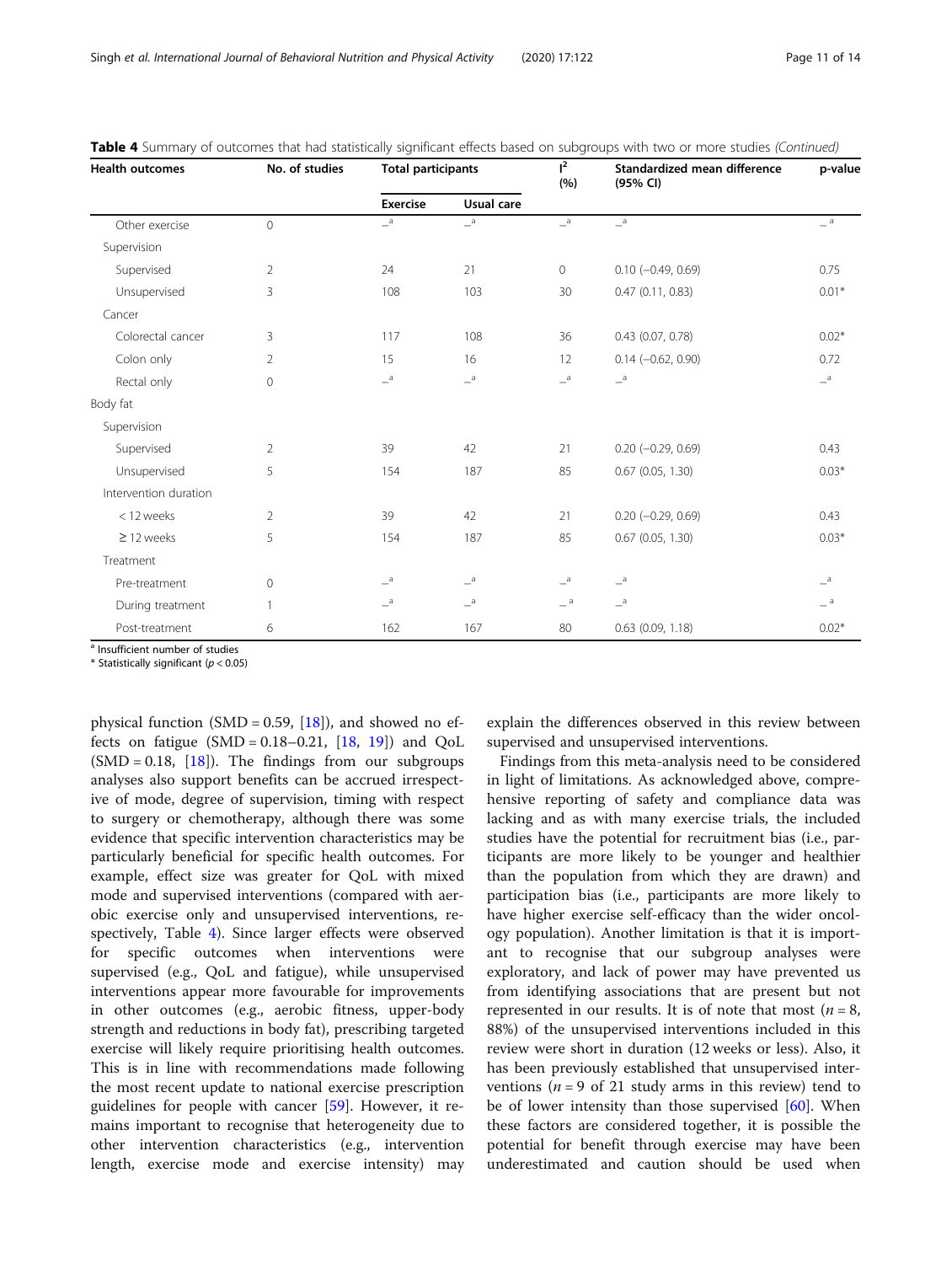| <b>Health outcomes</b> | No. of studies | <b>Total participants</b>  |                           | $l^2$<br>(%)     | Standardized mean difference<br>(95% CI) | p-value          |
|------------------------|----------------|----------------------------|---------------------------|------------------|------------------------------------------|------------------|
|                        |                | <b>Exercise</b>            | Usual care                |                  |                                          |                  |
| Other exercise         | $\overline{0}$ | $\overline{\phantom{a}}^a$ | $-{}^{\rm a}$             | $-^{\mathrm{a}}$ | $-{}^{\mathrm{a}}$                       | $=$ <sup>a</sup> |
| Supervision            |                |                            |                           |                  |                                          |                  |
| Supervised             | $\overline{2}$ | 24                         | 21                        | $\circ$          | $0.10 (-0.49, 0.69)$                     | 0.75             |
| Unsupervised           | 3              | 108                        | 103                       | 30               | 0.47(0.11, 0.83)                         | $0.01*$          |
| Cancer                 |                |                            |                           |                  |                                          |                  |
| Colorectal cancer      | 3              | 117                        | 108                       | 36               | $0.43$ (0.07, 0.78)                      | $0.02*$          |
| Colon only             | $\overline{2}$ | 15                         | 16                        | 12               | $0.14 (-0.62, 0.90)$                     | 0.72             |
| Rectal only            | $\Omega$       | $-{}^a$                    | $\mathbf{=}^{\texttt{a}}$ | $-{}^a$          | $-{}^a$                                  | $a_{-}$          |
| Body fat               |                |                            |                           |                  |                                          |                  |
| Supervision            |                |                            |                           |                  |                                          |                  |
| Supervised             | $\overline{2}$ | 39                         | 42                        | 21               | $0.20$ (-0.29, 0.69)                     | 0.43             |
| Unsupervised           | 5              | 154                        | 187                       | 85               | $0.67$ (0.05, 1.30)                      | $0.03*$          |
| Intervention duration  |                |                            |                           |                  |                                          |                  |
| < 12 weeks             | 2              | 39                         | 42                        | 21               | $0.20 (-0.29, 0.69)$                     | 0.43             |
| $\geq$ 12 weeks        | 5              | 154                        | 187                       | 85               | $0.67$ (0.05, 1.30)                      | $0.03*$          |
| Treatment              |                |                            |                           |                  |                                          |                  |
| Pre-treatment          | $\mathbf{0}$   | a                          | a                         | $-{}^a$          | a                                        | $a_{-}$          |
| During treatment       | $\mathbf{1}$   | $-{}^a$                    | $\mathbf{=}^{\texttt{a}}$ | $-$ a            | $-{}^a$                                  | $=$ a            |
| Post-treatment         | 6              | 162                        | 167                       | 80               | $0.63$ $(0.09, 1.18)$                    | $0.02*$          |

Table 4 Summary of outcomes that had statistically significant effects based on subgroups with two or more studies (Continued)

<sup>a</sup> Insufficient number of studies

 $*$  Statistically significant ( $p < 0.05$ )

physical function (SMD = 0.59,  $[18]$  $[18]$  $[18]$ ), and showed no effects on fatigue  $(SMD = 0.18 - 0.21, [18, 19])$  $(SMD = 0.18 - 0.21, [18, 19])$  $(SMD = 0.18 - 0.21, [18, 19])$  $(SMD = 0.18 - 0.21, [18, 19])$  $(SMD = 0.18 - 0.21, [18, 19])$  and  $QoL$  $(SMD = 0.18, [18])$  $(SMD = 0.18, [18])$  $(SMD = 0.18, [18])$ . The findings from our subgroups analyses also support benefits can be accrued irrespective of mode, degree of supervision, timing with respect to surgery or chemotherapy, although there was some evidence that specific intervention characteristics may be particularly beneficial for specific health outcomes. For example, effect size was greater for QoL with mixed mode and supervised interventions (compared with aerobic exercise only and unsupervised interventions, respectively, Table [4](#page-9-0)). Since larger effects were observed for specific outcomes when interventions were supervised (e.g., QoL and fatigue), while unsupervised interventions appear more favourable for improvements in other outcomes (e.g., aerobic fitness, upper-body strength and reductions in body fat), prescribing targeted exercise will likely require prioritising health outcomes. This is in line with recommendations made following the most recent update to national exercise prescription guidelines for people with cancer [\[59\]](#page-13-0). However, it remains important to recognise that heterogeneity due to other intervention characteristics (e.g., intervention length, exercise mode and exercise intensity) may

explain the differences observed in this review between supervised and unsupervised interventions.

Findings from this meta-analysis need to be considered in light of limitations. As acknowledged above, comprehensive reporting of safety and compliance data was lacking and as with many exercise trials, the included studies have the potential for recruitment bias (i.e., participants are more likely to be younger and healthier than the population from which they are drawn) and participation bias (i.e., participants are more likely to have higher exercise self-efficacy than the wider oncology population). Another limitation is that it is important to recognise that our subgroup analyses were exploratory, and lack of power may have prevented us from identifying associations that are present but not represented in our results. It is of note that most ( $n = 8$ , 88%) of the unsupervised interventions included in this review were short in duration (12 weeks or less). Also, it has been previously established that unsupervised interventions ( $n = 9$  of 21 study arms in this review) tend to be of lower intensity than those supervised [\[60](#page-13-0)]. When these factors are considered together, it is possible the potential for benefit through exercise may have been underestimated and caution should be used when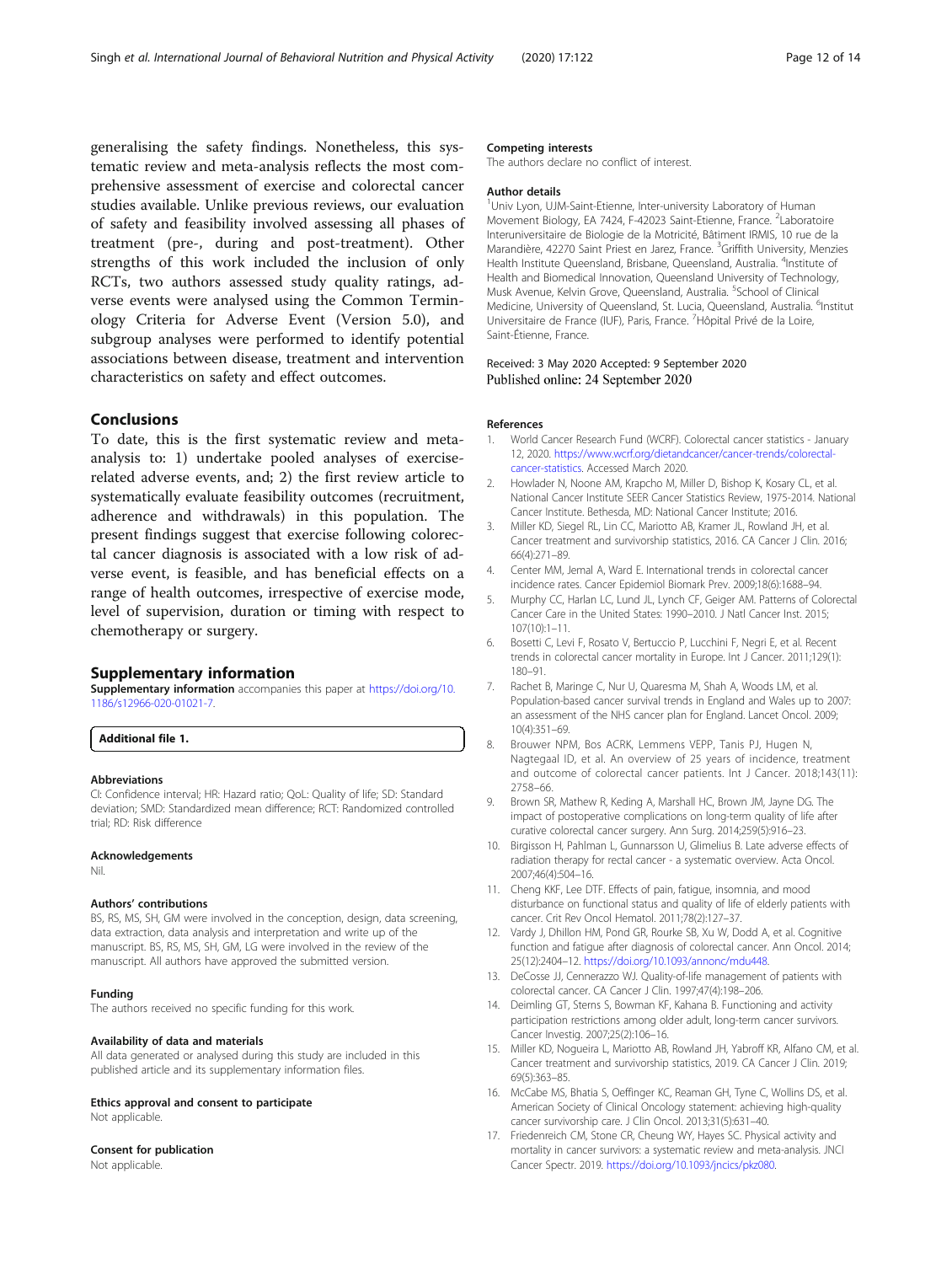<span id="page-11-0"></span>generalising the safety findings. Nonetheless, this systematic review and meta-analysis reflects the most comprehensive assessment of exercise and colorectal cancer studies available. Unlike previous reviews, our evaluation of safety and feasibility involved assessing all phases of treatment (pre-, during and post-treatment). Other strengths of this work included the inclusion of only RCTs, two authors assessed study quality ratings, adverse events were analysed using the Common Terminology Criteria for Adverse Event (Version 5.0), and subgroup analyses were performed to identify potential associations between disease, treatment and intervention characteristics on safety and effect outcomes.

# Conclusions

To date, this is the first systematic review and metaanalysis to: 1) undertake pooled analyses of exerciserelated adverse events, and; 2) the first review article to systematically evaluate feasibility outcomes (recruitment, adherence and withdrawals) in this population. The present findings suggest that exercise following colorectal cancer diagnosis is associated with a low risk of adverse event, is feasible, and has beneficial effects on a range of health outcomes, irrespective of exercise mode, level of supervision, duration or timing with respect to chemotherapy or surgery.

#### Supplementary information

Supplementary information accompanies this paper at [https://doi.org/10.](https://doi.org/10.1186/s12966-020-01021-7) [1186/s12966-020-01021-7](https://doi.org/10.1186/s12966-020-01021-7).

Additional file 1.

#### Abbreviations

CI: Confidence interval; HR: Hazard ratio; QoL: Quality of life; SD: Standard deviation; SMD: Standardized mean difference; RCT: Randomized controlled trial; RD: Risk difference

#### Acknowledgements

Nil.

#### Authors' contributions

BS, RS, MS, SH, GM were involved in the conception, design, data screening, data extraction, data analysis and interpretation and write up of the manuscript. BS, RS, MS, SH, GM, LG were involved in the review of the manuscript. All authors have approved the submitted version.

#### Funding

The authors received no specific funding for this work.

#### Availability of data and materials

All data generated or analysed during this study are included in this published article and its supplementary information files.

#### Ethics approval and consent to participate

Not applicable.

## Consent for publication

Not applicable.

#### Competing interests

The authors declare no conflict of interest.

#### Author details

<sup>1</sup>Univ Lyon, UJM-Saint-Etienne, Inter-university Laboratory of Human Movement Biology, EA 7424, F-42023 Saint-Etienne, France. <sup>2</sup>Laboratoire Interuniversitaire de Biologie de la Motricité, Bâtiment IRMIS, 10 rue de la Marandière, 42270 Saint Priest en Jarez, France. <sup>3</sup>Griffith University, Menzies Health Institute Queensland, Brisbane, Queensland, Australia. <sup>4</sup>Institute of Health and Biomedical Innovation, Queensland University of Technology, Musk Avenue, Kelvin Grove, Queensland, Australia. <sup>5</sup>School of Clinical Medicine, University of Queensland, St. Lucia, Queensland, Australia. <sup>6</sup>Institut Universitaire de France (IUF), Paris, France. <sup>7</sup>Hôpital Privé de la Loire, Saint-Étienne, France.

#### Received: 3 May 2020 Accepted: 9 September 2020 Published online: 24 September 2020

# References

- 1. World Cancer Research Fund (WCRF). Colorectal cancer statistics January 12, 2020. [https://www.wcrf.org/dietandcancer/cancer-trends/colorectal](https://www.wcrf.org/dietandcancer/cancer-trends/colorectal-cancer-statistics)[cancer-statistics](https://www.wcrf.org/dietandcancer/cancer-trends/colorectal-cancer-statistics). Accessed March 2020.
- 2. Howlader N, Noone AM, Krapcho M, Miller D, Bishop K, Kosary CL, et al. National Cancer Institute SEER Cancer Statistics Review, 1975-2014. National Cancer Institute. Bethesda, MD: National Cancer Institute; 2016.
- 3. Miller KD, Siegel RL, Lin CC, Mariotto AB, Kramer JL, Rowland JH, et al. Cancer treatment and survivorship statistics, 2016. CA Cancer J Clin. 2016; 66(4):271–89.
- 4. Center MM, Jemal A, Ward E. International trends in colorectal cancer incidence rates. Cancer Epidemiol Biomark Prev. 2009;18(6):1688–94.
- 5. Murphy CC, Harlan LC, Lund JL, Lynch CF, Geiger AM. Patterns of Colorectal Cancer Care in the United States: 1990–2010. J Natl Cancer Inst. 2015; 107(10):1–11.
- 6. Bosetti C, Levi F, Rosato V, Bertuccio P, Lucchini F, Negri E, et al. Recent trends in colorectal cancer mortality in Europe. Int J Cancer. 2011;129(1): 180–91.
- 7. Rachet B, Maringe C, Nur U, Quaresma M, Shah A, Woods LM, et al. Population-based cancer survival trends in England and Wales up to 2007: an assessment of the NHS cancer plan for England. Lancet Oncol. 2009; 10(4):351–69.
- 8. Brouwer NPM, Bos ACRK, Lemmens VEPP, Tanis PJ, Hugen N, Nagtegaal ID, et al. An overview of 25 years of incidence, treatment and outcome of colorectal cancer patients. Int J Cancer. 2018;143(11): 2758–66.
- 9. Brown SR, Mathew R, Keding A, Marshall HC, Brown JM, Jayne DG. The impact of postoperative complications on long-term quality of life after curative colorectal cancer surgery. Ann Surg. 2014;259(5):916–23.
- 10. Birgisson H, Pahlman L, Gunnarsson U, Glimelius B. Late adverse effects of radiation therapy for rectal cancer - a systematic overview. Acta Oncol. 2007;46(4):504–16.
- 11. Cheng KKF, Lee DTF. Effects of pain, fatigue, insomnia, and mood disturbance on functional status and quality of life of elderly patients with cancer. Crit Rev Oncol Hematol. 2011;78(2):127–37.
- 12. Vardy J, Dhillon HM, Pond GR, Rourke SB, Xu W, Dodd A, et al. Cognitive function and fatigue after diagnosis of colorectal cancer. Ann Oncol. 2014; 25(12):2404–12. <https://doi.org/10.1093/annonc/mdu448>.
- 13. DeCosse JJ, Cennerazzo WJ. Quality-of-life management of patients with colorectal cancer. CA Cancer J Clin. 1997;47(4):198–206.
- 14. Deimling GT, Sterns S, Bowman KF, Kahana B. Functioning and activity participation restrictions among older adult, long-term cancer survivors. Cancer Investig. 2007;25(2):106–16.
- 15. Miller KD, Nogueira L, Mariotto AB, Rowland JH, Yabroff KR, Alfano CM, et al. Cancer treatment and survivorship statistics, 2019. CA Cancer J Clin. 2019; 69(5):363–85.
- 16. McCabe MS, Bhatia S, Oeffinger KC, Reaman GH, Tyne C, Wollins DS, et al. American Society of Clinical Oncology statement: achieving high-quality cancer survivorship care. J Clin Oncol. 2013;31(5):631–40.
- 17. Friedenreich CM, Stone CR, Cheung WY, Hayes SC. Physical activity and mortality in cancer survivors: a systematic review and meta-analysis. JNCI Cancer Spectr. 2019. [https://doi.org/10.1093/jncics/pkz080.](https://doi.org/10.1093/jncics/pkz080)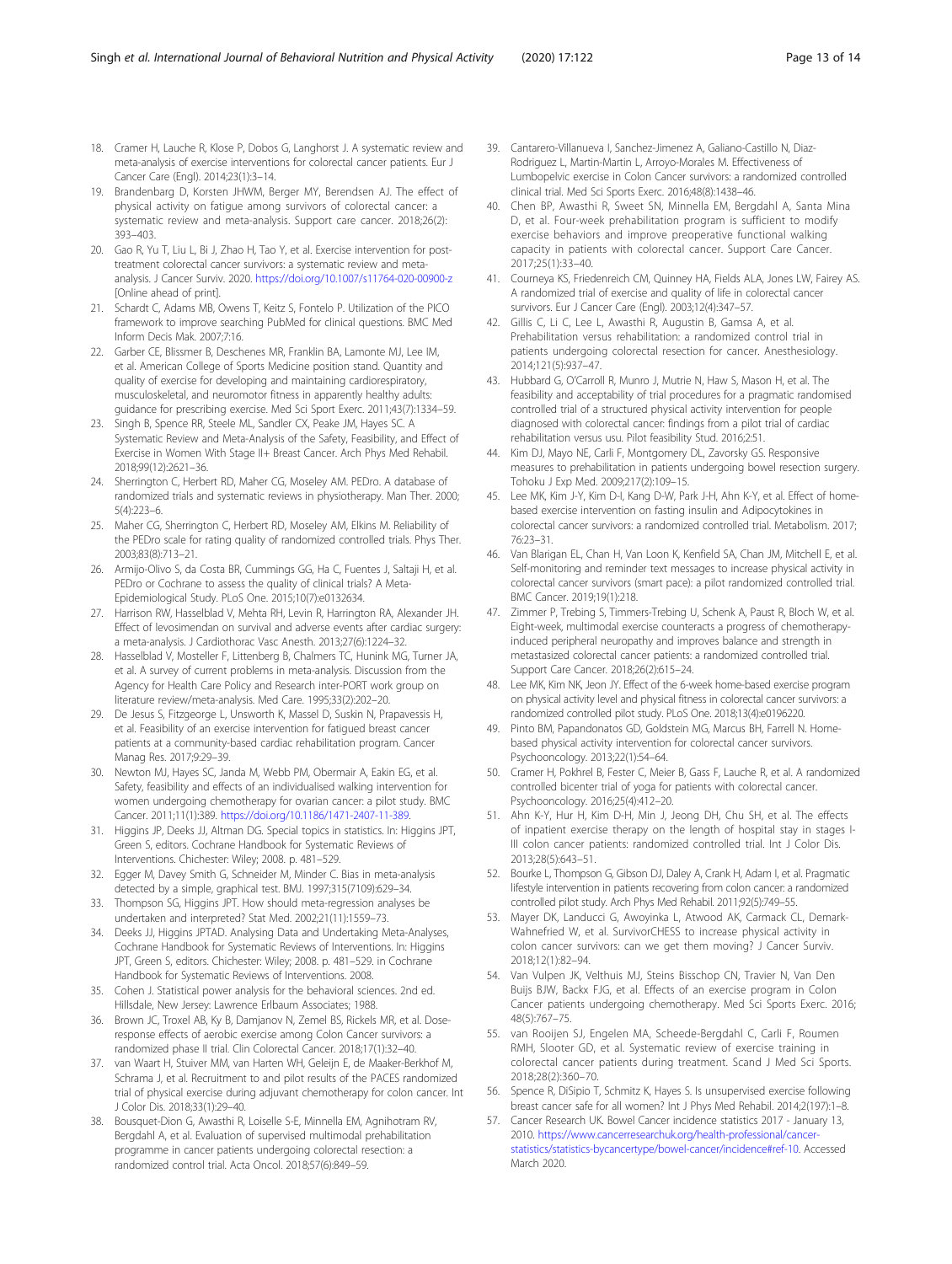- <span id="page-12-0"></span>18. Cramer H, Lauche R, Klose P, Dobos G, Langhorst J. A systematic review and meta-analysis of exercise interventions for colorectal cancer patients. Eur J Cancer Care (Engl). 2014;23(1):3–14.
- 19. Brandenbarg D, Korsten JHWM, Berger MY, Berendsen AJ. The effect of physical activity on fatigue among survivors of colorectal cancer: a systematic review and meta-analysis. Support care cancer. 2018;26(2): 393–403.
- 20. Gao R, Yu T, Liu L, Bi J, Zhao H, Tao Y, et al. Exercise intervention for posttreatment colorectal cancer survivors: a systematic review and metaanalysis. J Cancer Surviv. 2020. <https://doi.org/10.1007/s11764-020-00900-z> [Online ahead of print].
- 21. Schardt C, Adams MB, Owens T, Keitz S, Fontelo P. Utilization of the PICO framework to improve searching PubMed for clinical questions. BMC Med Inform Decis Mak. 2007;7:16.
- 22. Garber CE, Blissmer B, Deschenes MR, Franklin BA, Lamonte MJ, Lee IM, et al. American College of Sports Medicine position stand. Quantity and quality of exercise for developing and maintaining cardiorespiratory, musculoskeletal, and neuromotor fitness in apparently healthy adults: guidance for prescribing exercise. Med Sci Sport Exerc. 2011;43(7):1334–59.
- 23. Singh B, Spence RR, Steele ML, Sandler CX, Peake JM, Hayes SC. A Systematic Review and Meta-Analysis of the Safety, Feasibility, and Effect of Exercise in Women With Stage II+ Breast Cancer. Arch Phys Med Rehabil. 2018;99(12):2621–36.
- 24. Sherrington C, Herbert RD, Maher CG, Moseley AM. PEDro. A database of randomized trials and systematic reviews in physiotherapy. Man Ther. 2000; 5(4):223–6.
- 25. Maher CG, Sherrington C, Herbert RD, Moseley AM, Elkins M. Reliability of the PEDro scale for rating quality of randomized controlled trials. Phys Ther. 2003;83(8):713–21.
- 26. Armijo-Olivo S, da Costa BR, Cummings GG, Ha C, Fuentes J, Saltaji H, et al. PEDro or Cochrane to assess the quality of clinical trials? A Meta-Epidemiological Study. PLoS One. 2015;10(7):e0132634.
- 27. Harrison RW, Hasselblad V, Mehta RH, Levin R, Harrington RA, Alexander JH. Effect of levosimendan on survival and adverse events after cardiac surgery: a meta-analysis. J Cardiothorac Vasc Anesth. 2013;27(6):1224–32.
- 28. Hasselblad V, Mosteller F, Littenberg B, Chalmers TC, Hunink MG, Turner JA, et al. A survey of current problems in meta-analysis. Discussion from the Agency for Health Care Policy and Research inter-PORT work group on literature review/meta-analysis. Med Care. 1995;33(2):202–20.
- 29. De Jesus S, Fitzgeorge L, Unsworth K, Massel D, Suskin N, Prapavessis H, et al. Feasibility of an exercise intervention for fatigued breast cancer patients at a community-based cardiac rehabilitation program. Cancer Manag Res. 2017;9:29–39.
- 30. Newton MJ, Hayes SC, Janda M, Webb PM, Obermair A, Eakin EG, et al. Safety, feasibility and effects of an individualised walking intervention for women undergoing chemotherapy for ovarian cancer: a pilot study. BMC Cancer. 2011;11(1):389. [https://doi.org/10.1186/1471-2407-11-389.](https://doi.org/10.1186/1471-2407-11-389)
- 31. Higgins JP, Deeks JJ, Altman DG. Special topics in statistics. In: Higgins JPT, Green S, editors. Cochrane Handbook for Systematic Reviews of Interventions. Chichester: Wiley; 2008. p. 481–529.
- 32. Egger M, Davey Smith G, Schneider M, Minder C. Bias in meta-analysis detected by a simple, graphical test. BMJ. 1997;315(7109):629–34.
- 33. Thompson SG, Higgins JPT. How should meta-regression analyses be undertaken and interpreted? Stat Med. 2002;21(11):1559–73.
- 34. Deeks JJ, Higgins JPTAD. Analysing Data and Undertaking Meta-Analyses, Cochrane Handbook for Systematic Reviews of Interventions. In: Higgins JPT, Green S, editors. Chichester: Wiley; 2008. p. 481–529. in Cochrane Handbook for Systematic Reviews of Interventions. 2008.
- 35. Cohen J. Statistical power analysis for the behavioral sciences. 2nd ed. Hillsdale, New Jersey: Lawrence Erlbaum Associates; 1988.
- 36. Brown JC, Troxel AB, Ky B, Damjanov N, Zemel BS, Rickels MR, et al. Doseresponse effects of aerobic exercise among Colon Cancer survivors: a randomized phase II trial. Clin Colorectal Cancer. 2018;17(1):32–40.
- 37. van Waart H, Stuiver MM, van Harten WH, Geleijn E, de Maaker-Berkhof M, Schrama J, et al. Recruitment to and pilot results of the PACES randomized trial of physical exercise during adjuvant chemotherapy for colon cancer. Int J Color Dis. 2018;33(1):29–40.
- 38. Bousquet-Dion G, Awasthi R, Loiselle S-E, Minnella EM, Agnihotram RV, Bergdahl A, et al. Evaluation of supervised multimodal prehabilitation programme in cancer patients undergoing colorectal resection: a randomized control trial. Acta Oncol. 2018;57(6):849–59.
- 39. Cantarero-Villanueva I, Sanchez-Jimenez A, Galiano-Castillo N, Diaz-Rodriguez L, Martin-Martin L, Arroyo-Morales M. Effectiveness of Lumbopelvic exercise in Colon Cancer survivors: a randomized controlled clinical trial. Med Sci Sports Exerc. 2016;48(8):1438–46.
- 40. Chen BP, Awasthi R, Sweet SN, Minnella EM, Bergdahl A, Santa Mina D, et al. Four-week prehabilitation program is sufficient to modify exercise behaviors and improve preoperative functional walking capacity in patients with colorectal cancer. Support Care Cancer. 2017;25(1):33–40.
- 41. Courneya KS, Friedenreich CM, Quinney HA, Fields ALA, Jones LW, Fairey AS. A randomized trial of exercise and quality of life in colorectal cancer survivors. Eur J Cancer Care (Engl). 2003;12(4):347–57.
- 42. Gillis C, Li C, Lee L, Awasthi R, Augustin B, Gamsa A, et al. Prehabilitation versus rehabilitation: a randomized control trial in patients undergoing colorectal resection for cancer. Anesthesiology. 2014;121(5):937–47.
- 43. Hubbard G, O'Carroll R, Munro J, Mutrie N, Haw S, Mason H, et al. The feasibility and acceptability of trial procedures for a pragmatic randomised controlled trial of a structured physical activity intervention for people diagnosed with colorectal cancer: findings from a pilot trial of cardiac rehabilitation versus usu. Pilot feasibility Stud. 2016;2:51.
- 44. Kim DJ, Mayo NE, Carli F, Montgomery DL, Zavorsky GS. Responsive measures to prehabilitation in patients undergoing bowel resection surgery. Tohoku J Exp Med. 2009;217(2):109–15.
- 45. Lee MK, Kim J-Y, Kim D-I, Kang D-W, Park J-H, Ahn K-Y, et al. Effect of homebased exercise intervention on fasting insulin and Adipocytokines in colorectal cancer survivors: a randomized controlled trial. Metabolism. 2017; 76:23–31.
- 46. Van Blarigan EL, Chan H, Van Loon K, Kenfield SA, Chan JM, Mitchell E, et al. Self-monitoring and reminder text messages to increase physical activity in colorectal cancer survivors (smart pace): a pilot randomized controlled trial. BMC Cancer. 2019;19(1):218.
- 47. Zimmer P, Trebing S, Timmers-Trebing U, Schenk A, Paust R, Bloch W, et al. Eight-week, multimodal exercise counteracts a progress of chemotherapyinduced peripheral neuropathy and improves balance and strength in metastasized colorectal cancer patients: a randomized controlled trial. Support Care Cancer. 2018;26(2):615–24.
- 48. Lee MK, Kim NK, Jeon JY. Effect of the 6-week home-based exercise program on physical activity level and physical fitness in colorectal cancer survivors: a randomized controlled pilot study. PLoS One. 2018;13(4):e0196220.
- 49. Pinto BM, Papandonatos GD, Goldstein MG, Marcus BH, Farrell N. Homebased physical activity intervention for colorectal cancer survivors. Psychooncology. 2013;22(1):54–64.
- 50. Cramer H, Pokhrel B, Fester C, Meier B, Gass F, Lauche R, et al. A randomized controlled bicenter trial of yoga for patients with colorectal cancer. Psychooncology. 2016;25(4):412–20.
- 51. Ahn K-Y, Hur H, Kim D-H, Min J, Jeong DH, Chu SH, et al. The effects of inpatient exercise therapy on the length of hospital stay in stages I-III colon cancer patients: randomized controlled trial. Int J Color Dis. 2013;28(5):643–51.
- 52. Bourke L, Thompson G, Gibson DJ, Daley A, Crank H, Adam I, et al. Pragmatic lifestyle intervention in patients recovering from colon cancer: a randomized controlled pilot study. Arch Phys Med Rehabil. 2011;92(5):749–55.
- 53. Mayer DK, Landucci G, Awoyinka L, Atwood AK, Carmack CL, Demark-Wahnefried W, et al. SurvivorCHESS to increase physical activity in colon cancer survivors: can we get them moving? J Cancer Surviv. 2018;12(1):82–94.
- 54. Van Vulpen JK, Velthuis MJ, Steins Bisschop CN, Travier N, Van Den Buijs BJW, Backx FJG, et al. Effects of an exercise program in Colon Cancer patients undergoing chemotherapy. Med Sci Sports Exerc. 2016; 48(5):767–75.
- 55. van Rooijen SJ, Engelen MA, Scheede-Bergdahl C, Carli F, Roumen RMH, Slooter GD, et al. Systematic review of exercise training in colorectal cancer patients during treatment. Scand J Med Sci Sports. 2018;28(2):360–70.
- 56. Spence R, DiSipio T, Schmitz K, Hayes S. Is unsupervised exercise following breast cancer safe for all women? Int J Phys Med Rehabil. 2014;2(197):1–8.
- 57. Cancer Research UK. Bowel Cancer incidence statistics 2017 January 13, 2010. [https://www.cancerresearchuk.org/health-professional/cancer](https://www.cancerresearchuk.org/health-professional/cancer-statistics/statistics-bycancertype/bowel-cancer/incidence#ref-10)[statistics/statistics-bycancertype/bowel-cancer/incidence#ref-10.](https://www.cancerresearchuk.org/health-professional/cancer-statistics/statistics-bycancertype/bowel-cancer/incidence#ref-10) Accessed March 2020.